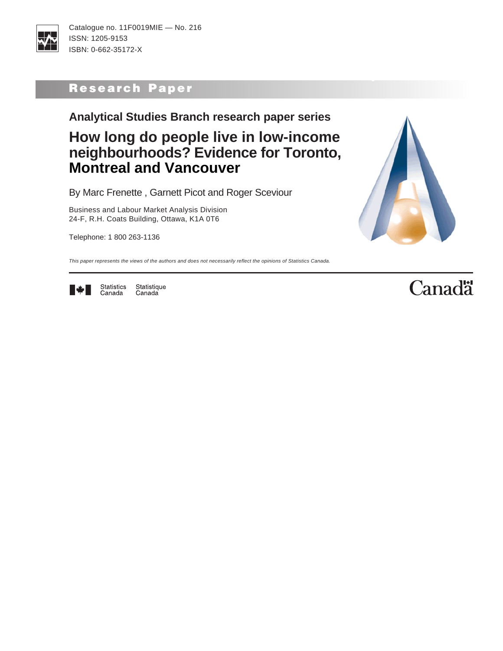

# Research Paper

**Analytical Studies Branch research paper series**

# **How long do people live in low-income neighbourhoods? Evidence for Toronto, Montreal and Vancouver**

By Marc Frenette , Garnett Picot and Roger Sceviour

Business and Labour Market Analysis Division 24-F, R.H. Coats Building, Ottawa, K1A 0T6

Telephone: 1 800 263-1136



Research Paper

This paper represents the views of the authors and does not necessarily reflect the opinions of Statistics Canada.



Statistics<br>Canada Statistique Canada

# **Canadä**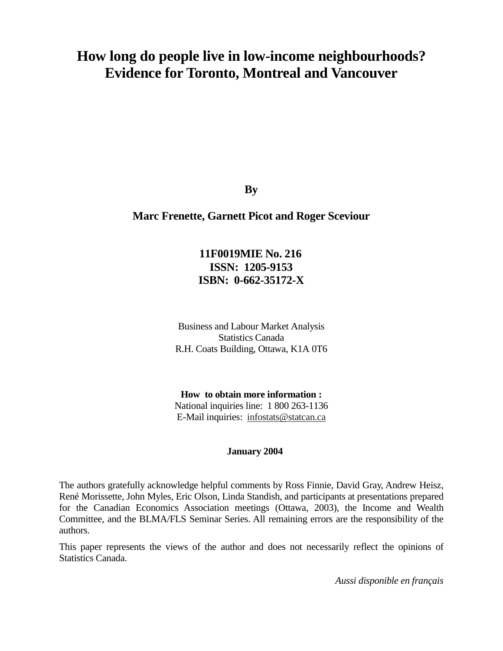# **How long do people live in low-income neighbourhoods? Evidence for Toronto, Montreal and Vancouver**

**By** 

#### **Marc Frenette, Garnett Picot and Roger Sceviour**

# **11F0019MIE No. 216 ISSN: 1205-9153 ISBN: 0-662-35172-X**

Business and Labour Market Analysis Statistics Canada R.H. Coats Building, Ottawa, K1A 0T6

**How to obtain more information :**  National inquiries line: 1 800 263-1136 E-Mail inquiries: infostats@statcan.ca

#### **January 2004**

The authors gratefully acknowledge helpful comments by Ross Finnie, David Gray, Andrew Heisz, René Morissette, John Myles, Eric Olson, Linda Standish, and participants at presentations prepared for the Canadian Economics Association meetings (Ottawa, 2003), the Income and Wealth Committee, and the BLMA/FLS Seminar Series. All remaining errors are the responsibility of the authors.

This paper represents the views of the author and does not necessarily reflect the opinions of Statistics Canada.

*Aussi disponible en français*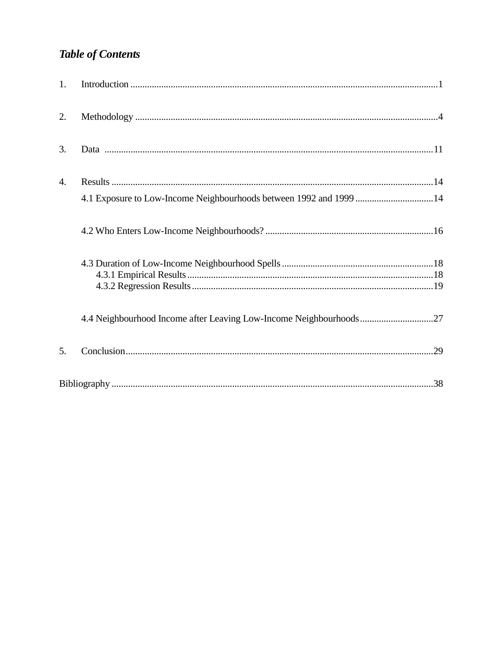# **Table of Contents**

| 1. |                                                                    |  |
|----|--------------------------------------------------------------------|--|
| 2. |                                                                    |  |
| 3. |                                                                    |  |
| 4. |                                                                    |  |
|    | 4.1 Exposure to Low-Income Neighbourhoods between 1992 and 1999 14 |  |
|    |                                                                    |  |
|    |                                                                    |  |
|    |                                                                    |  |
|    |                                                                    |  |
|    | 4.4 Neighbourhood Income after Leaving Low-Income Neighbourhoods27 |  |
| 5. |                                                                    |  |
|    |                                                                    |  |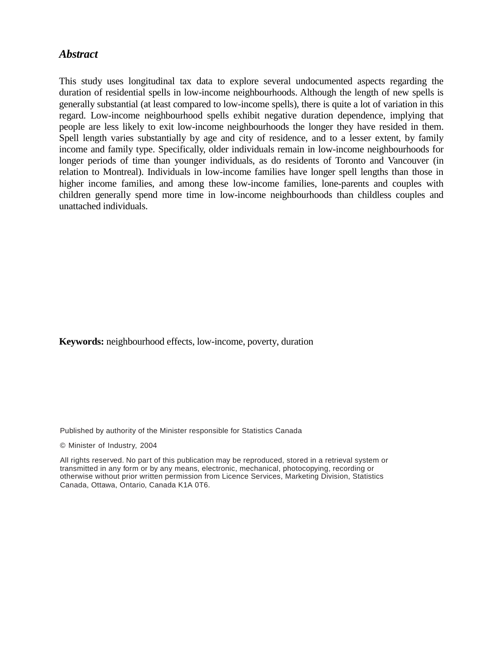#### *Abstract*

This study uses longitudinal tax data to explore several undocumented aspects regarding the duration of residential spells in low-income neighbourhoods. Although the length of new spells is generally substantial (at least compared to low-income spells), there is quite a lot of variation in this regard. Low-income neighbourhood spells exhibit negative duration dependence, implying that people are less likely to exit low-income neighbourhoods the longer they have resided in them. Spell length varies substantially by age and city of residence, and to a lesser extent, by family income and family type. Specifically, older individuals remain in low-income neighbourhoods for longer periods of time than younger individuals, as do residents of Toronto and Vancouver (in relation to Montreal). Individuals in low-income families have longer spell lengths than those in higher income families, and among these low-income families, lone-parents and couples with children generally spend more time in low-income neighbourhoods than childless couples and unattached individuals.

#### **Keywords:** neighbourhood effects, low-income, poverty, duration

Published by authority of the Minister responsible for Statistics Canada

© Minister of Industry, 2004

All rights reserved. No part of this publication may be reproduced, stored in a retrieval system or transmitted in any form or by any means, electronic, mechanical, photocopying, recording or otherwise without prior written permission from Licence Services, Marketing Division, Statistics Canada, Ottawa, Ontario, Canada K1A 0T6.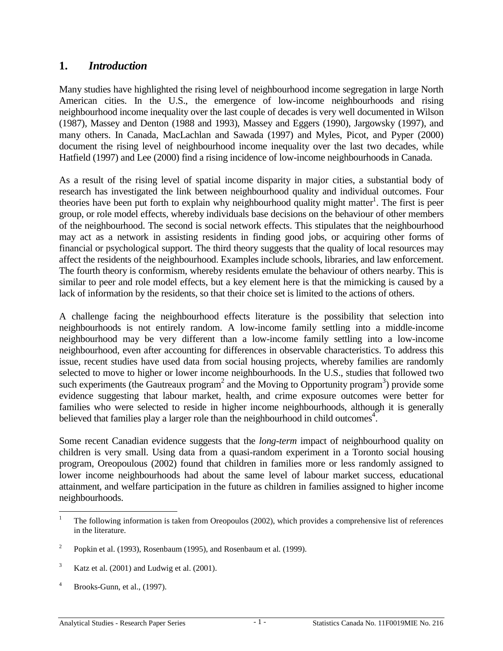# <span id="page-4-0"></span>**1.** *Introduction*

Many studies have highlighted the rising level of neighbourhood income segregation in large North American cities. In the U.S., the emergence of low-income neighbourhoods and rising neighbourhood income inequality over the last couple of decades is very well documented in Wilson (1987), Massey and Denton (1988 and 1993), Massey and Eggers (1990), Jargowsky (1997), and many others. In Canada, MacLachlan and Sawada (1997) and Myles, Picot, and Pyper (2000) document the rising level of neighbourhood income inequality over the last two decades, while Hatfield (1997) and Lee (2000) find a rising incidence of low-income neighbourhoods in Canada.

As a result of the rising level of spatial income disparity in major cities, a substantial body of research has investigated the link between neighbourhood quality and individual outcomes. Four theories have been put forth to explain why neighbourhood quality might matter<sup>1</sup>. The first is peer group, or role model effects, whereby individuals base decisions on the behaviour of other members of the neighbourhood. The second is social network effects. This stipulates that the neighbourhood may act as a network in assisting residents in finding good jobs, or acquiring other forms of financial or psychological support. The third theory suggests that the quality of local resources may affect the residents of the neighbourhood. Examples include schools, libraries, and law enforcement. The fourth theory is conformism, whereby residents emulate the behaviour of others nearby. This is similar to peer and role model effects, but a key element here is that the mimicking is caused by a lack of information by the residents, so that their choice set is limited to the actions of others.

A challenge facing the neighbourhood effects literature is the possibility that selection into neighbourhoods is not entirely random. A low-income family settling into a middle-income neighbourhood may be very different than a low-income family settling into a low-income neighbourhood, even after accounting for differences in observable characteristics. To address this issue, recent studies have used data from social housing projects, whereby families are randomly selected to move to higher or lower income neighbourhoods. In the U.S., studies that followed two such experiments (the Gautreaux program<sup>2</sup> and the Moving to Opportunity program<sup>3</sup>) provide some evidence suggesting that labour market, health, and crime exposure outcomes were better for families who were selected to reside in higher income neighbourhoods, although it is generally believed that families play a larger role than the neighbourhood in child outcomes<sup>4</sup>.

Some recent Canadian evidence suggests that the *long-term* impact of neighbourhood quality on children is very small. Using data from a quasi-random experiment in a Toronto social housing program, Oreopoulous (2002) found that children in families more or less randomly assigned to lower income neighbourhoods had about the same level of labour market success, educational attainment, and welfare participation in the future as children in families assigned to higher income neighbourhoods.

 $\frac{1}{1}$  The following information is taken from Oreopoulos (2002), which provides a comprehensive list of references in the literature.

<sup>2</sup> Popkin et al. (1993), Rosenbaum (1995), and Rosenbaum et al. (1999).

<sup>3</sup> Katz et al. (2001) and Ludwig et al. (2001).

<sup>4</sup> Brooks-Gunn, et al., (1997).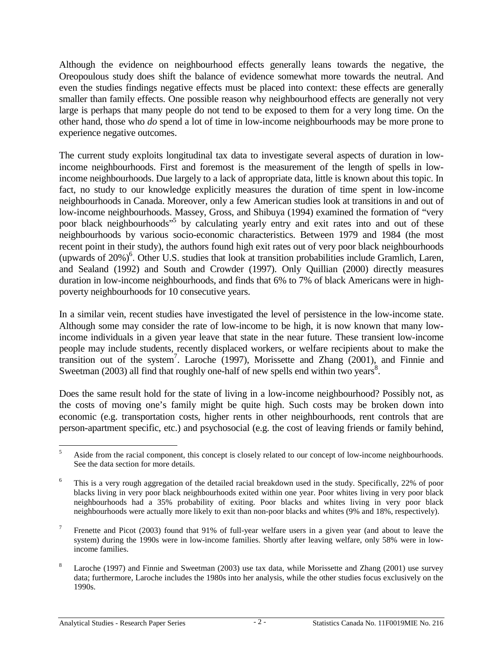Although the evidence on neighbourhood effects generally leans towards the negative, the Oreopoulous study does shift the balance of evidence somewhat more towards the neutral. And even the studies findings negative effects must be placed into context: these effects are generally smaller than family effects. One possible reason why neighbourhood effects are generally not very large is perhaps that many people do not tend to be exposed to them for a very long time. On the other hand, those who *do* spend a lot of time in low-income neighbourhoods may be more prone to experience negative outcomes.

The current study exploits longitudinal tax data to investigate several aspects of duration in lowincome neighbourhoods. First and foremost is the measurement of the length of spells in lowincome neighbourhoods. Due largely to a lack of appropriate data, little is known about this topic. In fact, no study to our knowledge explicitly measures the duration of time spent in low-income neighbourhoods in Canada. Moreover, only a few American studies look at transitions in and out of low-income neighbourhoods. Massey, Gross, and Shibuya (1994) examined the formation of "very poor black neighbourhoods"<sup>5</sup> by calculating yearly entry and exit rates into and out of these neighbourhoods by various socio-economic characteristics. Between 1979 and 1984 (the most recent point in their study), the authors found high exit rates out of very poor black neighbourhoods (upwards of 20%)<sup>6</sup>. Other U.S. studies that look at transition probabilities include Gramlich, Laren, and Sealand (1992) and South and Crowder (1997). Only Quillian (2000) directly measures duration in low-income neighbourhoods, and finds that 6% to 7% of black Americans were in highpoverty neighbourhoods for 10 consecutive years.

In a similar vein, recent studies have investigated the level of persistence in the low-income state. Although some may consider the rate of low-income to be high, it is now known that many lowincome individuals in a given year leave that state in the near future. These transient low-income people may include students, recently displaced workers, or welfare recipients about to make the transition out of the system<sup>7</sup>. Laroche (1997), Morissette and Zhang (2001), and Finnie and Sweetman  $(2003)$  all find that roughly one-half of new spells end within two years<sup>8</sup>.

Does the same result hold for the state of living in a low-income neighbourhood? Possibly not, as the costs of moving one's family might be quite high. Such costs may be broken down into economic (e.g. transportation costs, higher rents in other neighbourhoods, rent controls that are person-apartment specific, etc.) and psychosocial (e.g. the cost of leaving friends or family behind,

 $\frac{1}{5}$  Aside from the racial component, this concept is closely related to our concept of low-income neighbourhoods. See the data section for more details.

<sup>6</sup> This is a very rough aggregation of the detailed racial breakdown used in the study. Specifically, 22% of poor blacks living in very poor black neighbourhoods exited within one year. Poor whites living in very poor black neighbourhoods had a 35% probability of exiting. Poor blacks and whites living in very poor black neighbourhoods were actually more likely to exit than non-poor blacks and whites (9% and 18%, respectively).

<sup>7</sup> Frenette and Picot (2003) found that 91% of full-year welfare users in a given year (and about to leave the system) during the 1990s were in low-income families. Shortly after leaving welfare, only 58% were in lowincome families.

<sup>8</sup> Laroche (1997) and Finnie and Sweetman (2003) use tax data, while Morissette and Zhang (2001) use survey data; furthermore, Laroche includes the 1980s into her analysis, while the other studies focus exclusively on the 1990s.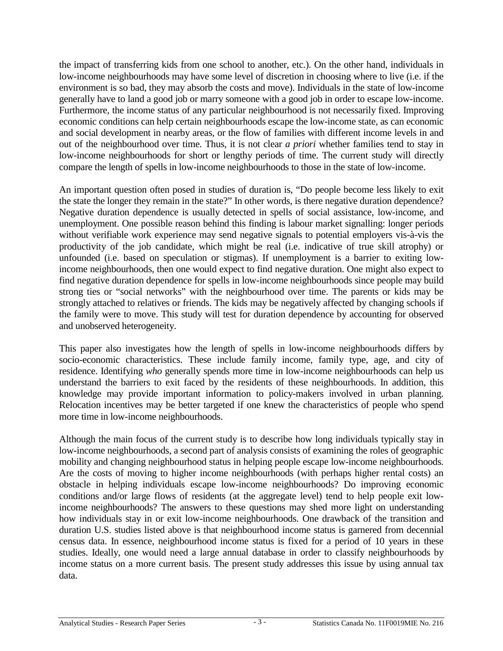the impact of transferring kids from one school to another, etc.). On the other hand, individuals in low-income neighbourhoods may have some level of discretion in choosing where to live (i.e. if the environment is so bad, they may absorb the costs and move). Individuals in the state of low-income generally have to land a good job or marry someone with a good job in order to escape low-income. Furthermore, the income status of any particular neighbourhood is not necessarily fixed. Improving economic conditions can help certain neighbourhoods escape the low-income state, as can economic and social development in nearby areas, or the flow of families with different income levels in and out of the neighbourhood over time. Thus, it is not clear *a priori* whether families tend to stay in low-income neighbourhoods for short or lengthy periods of time. The current study will directly compare the length of spells in low-income neighbourhoods to those in the state of low-income.

An important question often posed in studies of duration is, "Do people become less likely to exit the state the longer they remain in the state?" In other words, is there negative duration dependence? Negative duration dependence is usually detected in spells of social assistance, low-income, and unemployment. One possible reason behind this finding is labour market signalling: longer periods without verifiable work experience may send negative signals to potential employers vis-à-vis the productivity of the job candidate, which might be real (i.e. indicative of true skill atrophy) or unfounded (i.e. based on speculation or stigmas). If unemployment is a barrier to exiting lowincome neighbourhoods, then one would expect to find negative duration. One might also expect to find negative duration dependence for spells in low-income neighbourhoods since people may build strong ties or "social networks" with the neighbourhood over time. The parents or kids may be strongly attached to relatives or friends. The kids may be negatively affected by changing schools if the family were to move. This study will test for duration dependence by accounting for observed and unobserved heterogeneity.

This paper also investigates how the length of spells in low-income neighbourhoods differs by socio-economic characteristics. These include family income, family type, age, and city of residence. Identifying *who* generally spends more time in low-income neighbourhoods can help us understand the barriers to exit faced by the residents of these neighbourhoods. In addition, this knowledge may provide important information to policy-makers involved in urban planning. Relocation incentives may be better targeted if one knew the characteristics of people who spend more time in low-income neighbourhoods.

Although the main focus of the current study is to describe how long individuals typically stay in low-income neighbourhoods, a second part of analysis consists of examining the roles of geographic mobility and changing neighbourhood status in helping people escape low-income neighbourhoods. Are the costs of moving to higher income neighbourhoods (with perhaps higher rental costs) an obstacle in helping individuals escape low-income neighbourhoods? Do improving economic conditions and/or large flows of residents (at the aggregate level) tend to help people exit lowincome neighbourhoods? The answers to these questions may shed more light on understanding how individuals stay in or exit low-income neighbourhoods. One drawback of the transition and duration U.S. studies listed above is that neighbourhood income status is garnered from decennial census data. In essence, neighbourhood income status is fixed for a period of 10 years in these studies. Ideally, one would need a large annual database in order to classify neighbourhoods by income status on a more current basis. The present study addresses this issue by using annual tax data.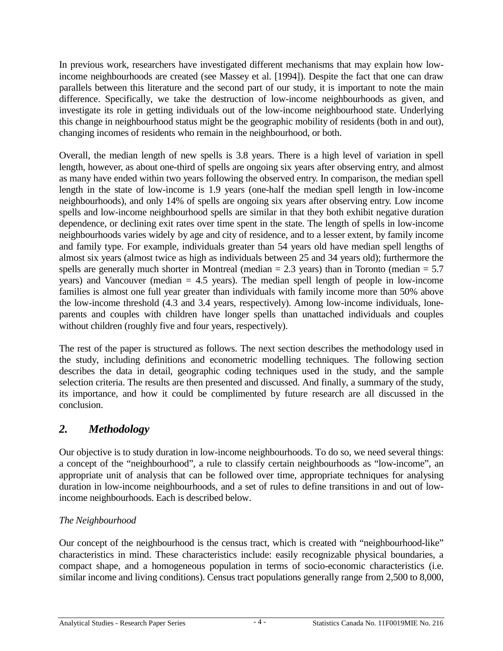<span id="page-7-0"></span>In previous work, researchers have investigated different mechanisms that may explain how lowincome neighbourhoods are created (see Massey et al. [1994]). Despite the fact that one can draw parallels between this literature and the second part of our study, it is important to note the main difference. Specifically, we take the destruction of low-income neighbourhoods as given, and investigate its role in getting individuals out of the low-income neighbourhood state. Underlying this change in neighbourhood status might be the geographic mobility of residents (both in and out), changing incomes of residents who remain in the neighbourhood, or both.

Overall, the median length of new spells is 3.8 years. There is a high level of variation in spell length, however, as about one-third of spells are ongoing six years after observing entry, and almost as many have ended within two years following the observed entry. In comparison, the median spell length in the state of low-income is 1.9 years (one-half the median spell length in low-income neighbourhoods), and only 14% of spells are ongoing six years after observing entry. Low income spells and low-income neighbourhood spells are similar in that they both exhibit negative duration dependence, or declining exit rates over time spent in the state. The length of spells in low-income neighbourhoods varies widely by age and city of residence, and to a lesser extent, by family income and family type. For example, individuals greater than 54 years old have median spell lengths of almost six years (almost twice as high as individuals between 25 and 34 years old); furthermore the spells are generally much shorter in Montreal (median  $= 2.3$  years) than in Toronto (median  $= 5.7$ years) and Vancouver (median = 4.5 years). The median spell length of people in low-income families is almost one full year greater than individuals with family income more than 50% above the low-income threshold (4.3 and 3.4 years, respectively). Among low-income individuals, loneparents and couples with children have longer spells than unattached individuals and couples without children (roughly five and four years, respectively).

The rest of the paper is structured as follows. The next section describes the methodology used in the study, including definitions and econometric modelling techniques. The following section describes the data in detail, geographic coding techniques used in the study, and the sample selection criteria. The results are then presented and discussed. And finally, a summary of the study, its importance, and how it could be complimented by future research are all discussed in the conclusion.

# *2. Methodology*

Our objective is to study duration in low-income neighbourhoods. To do so, we need several things: a concept of the "neighbourhood", a rule to classify certain neighbourhoods as "low-income", an appropriate unit of analysis that can be followed over time, appropriate techniques for analysing duration in low-income neighbourhoods, and a set of rules to define transitions in and out of lowincome neighbourhoods. Each is described below.

# *The Neighbourhood*

Our concept of the neighbourhood is the census tract, which is created with "neighbourhood-like" characteristics in mind. These characteristics include: easily recognizable physical boundaries, a compact shape, and a homogeneous population in terms of socio-economic characteristics (i.e. similar income and living conditions). Census tract populations generally range from 2,500 to 8,000,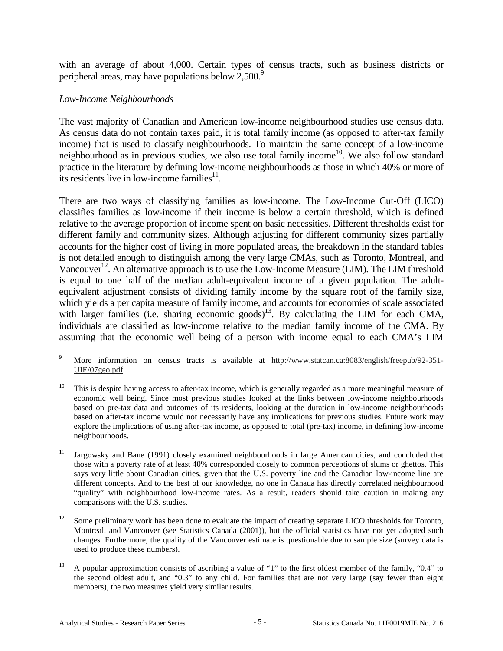with an average of about 4,000. Certain types of census tracts, such as business districts or peripheral areas, may have populations below 2,500.<sup>9</sup>

#### *Low-Income Neighbourhoods*

The vast majority of Canadian and American low-income neighbourhood studies use census data. As census data do not contain taxes paid, it is total family income (as opposed to after-tax family income) that is used to classify neighbourhoods. To maintain the same concept of a low-income neighbourhood as in previous studies, we also use total family income<sup>10</sup>. We also follow standard practice in the literature by defining low-income neighbourhoods as those in which 40% or more of its residents live in low-income families $^{11}$ .

There are two ways of classifying families as low-income. The Low-Income Cut-Off (LICO) classifies families as low-income if their income is below a certain threshold, which is defined relative to the average proportion of income spent on basic necessities. Different thresholds exist for different family and community sizes. Although adjusting for different community sizes partially accounts for the higher cost of living in more populated areas, the breakdown in the standard tables is not detailed enough to distinguish among the very large CMAs, such as Toronto, Montreal, and Vancouver<sup>12</sup>. An alternative approach is to use the Low-Income Measure (LIM). The LIM threshold is equal to one half of the median adult-equivalent income of a given population. The adultequivalent adjustment consists of dividing family income by the square root of the family size, which yields a per capita measure of family income, and accounts for economies of scale associated with larger families (i.e. sharing economic goods)<sup>13</sup>. By calculating the LIM for each CMA, individuals are classified as low-income relative to the median family income of the CMA. By assuming that the economic well being of a person with income equal to each CMA's LIM

<sup>&</sup>lt;u>.</u> 9 More information on census tracts is available at http://www.statcan.ca:8083/english/freepub/92-351- UIE/07geo.pdf.

This is despite having access to after-tax income, which is generally regarded as a more meaningful measure of economic well being. Since most previous studies looked at the links between low-income neighbourhoods based on pre-tax data and outcomes of its residents, looking at the duration in low-income neighbourhoods based on after-tax income would not necessarily have any implications for previous studies. Future work may explore the implications of using after-tax income, as opposed to total (pre-tax) income, in defining low-income neighbourhoods.

<sup>&</sup>lt;sup>11</sup> Jargowsky and Bane (1991) closely examined neighbourhoods in large American cities, and concluded that those with a poverty rate of at least 40% corresponded closely to common perceptions of slums or ghettos. This says very little about Canadian cities, given that the U.S. poverty line and the Canadian low-income line are different concepts. And to the best of our knowledge, no one in Canada has directly correlated neighbourhood "quality" with neighbourhood low-income rates. As a result, readers should take caution in making any comparisons with the U.S. studies.

<sup>&</sup>lt;sup>12</sup> Some preliminary work has been done to evaluate the impact of creating separate LICO thresholds for Toronto, Montreal, and Vancouver (see Statistics Canada (2001)), but the official statistics have not yet adopted such changes. Furthermore, the quality of the Vancouver estimate is questionable due to sample size (survey data is used to produce these numbers).

<sup>&</sup>lt;sup>13</sup> A popular approximation consists of ascribing a value of "1" to the first oldest member of the family, "0.4" to the second oldest adult, and "0.3" to any child. For families that are not very large (say fewer than eight members), the two measures yield very similar results.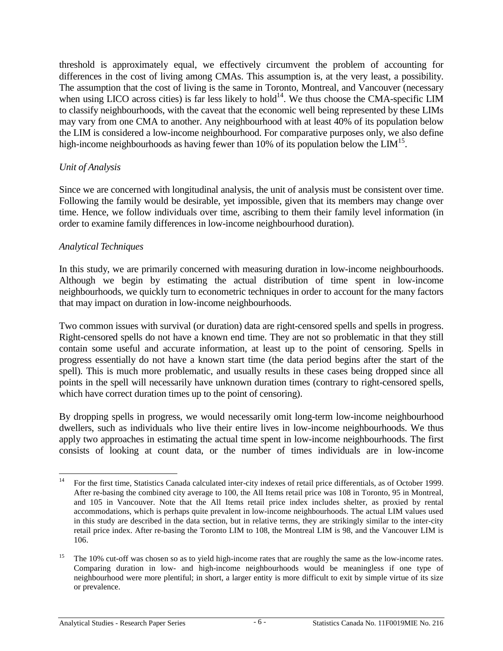threshold is approximately equal, we effectively circumvent the problem of accounting for differences in the cost of living among CMAs. This assumption is, at the very least, a possibility. The assumption that the cost of living is the same in Toronto, Montreal, and Vancouver (necessary when using LICO across cities) is far less likely to hold<sup>14</sup>. We thus choose the CMA-specific LIM to classify neighbourhoods, with the caveat that the economic well being represented by these LIMs may vary from one CMA to another. Any neighbourhood with at least 40% of its population below the LIM is considered a low-income neighbourhood. For comparative purposes only, we also define high-income neighbourhoods as having fewer than 10% of its population below the  $LM<sup>15</sup>$ .

#### *Unit of Analysis*

Since we are concerned with longitudinal analysis, the unit of analysis must be consistent over time. Following the family would be desirable, yet impossible, given that its members may change over time. Hence, we follow individuals over time, ascribing to them their family level information (in order to examine family differences in low-income neighbourhood duration).

#### *Analytical Techniques*

In this study, we are primarily concerned with measuring duration in low-income neighbourhoods. Although we begin by estimating the actual distribution of time spent in low-income neighbourhoods, we quickly turn to econometric techniques in order to account for the many factors that may impact on duration in low-income neighbourhoods.

Two common issues with survival (or duration) data are right-censored spells and spells in progress. Right-censored spells do not have a known end time. They are not so problematic in that they still contain some useful and accurate information, at least up to the point of censoring. Spells in progress essentially do not have a known start time (the data period begins after the start of the spell). This is much more problematic, and usually results in these cases being dropped since all points in the spell will necessarily have unknown duration times (contrary to right-censored spells, which have correct duration times up to the point of censoring).

By dropping spells in progress, we would necessarily omit long-term low-income neighbourhood dwellers, such as individuals who live their entire lives in low-income neighbourhoods. We thus apply two approaches in estimating the actual time spent in low-income neighbourhoods. The first consists of looking at count data, or the number of times individuals are in low-income

<sup>14</sup> 14 For the first time, Statistics Canada calculated inter-city indexes of retail price differentials, as of October 1999. After re-basing the combined city average to 100, the All Items retail price was 108 in Toronto, 95 in Montreal, and 105 in Vancouver. Note that the All Items retail price index includes shelter, as proxied by rental accommodations, which is perhaps quite prevalent in low-income neighbourhoods. The actual LIM values used in this study are described in the data section, but in relative terms, they are strikingly similar to the inter-city retail price index. After re-basing the Toronto LIM to 108, the Montreal LIM is 98, and the Vancouver LIM is 106.

<sup>&</sup>lt;sup>15</sup> The 10% cut-off was chosen so as to yield high-income rates that are roughly the same as the low-income rates. Comparing duration in low- and high-income neighbourhoods would be meaningless if one type of neighbourhood were more plentiful; in short, a larger entity is more difficult to exit by simple virtue of its size or prevalence.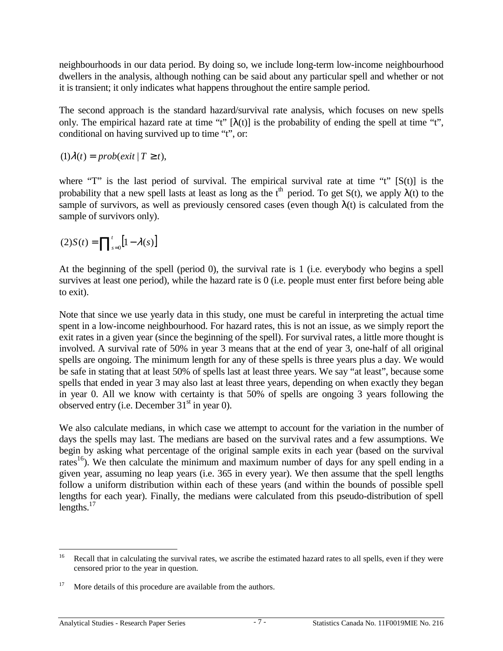neighbourhoods in our data period. By doing so, we include long-term low-income neighbourhood dwellers in the analysis, although nothing can be said about any particular spell and whether or not it is transient; it only indicates what happens throughout the entire sample period.

The second approach is the standard hazard/survival rate analysis, which focuses on new spells only. The empirical hazard rate at time "t"  $[\lambda(t)]$  is the probability of ending the spell at time "t", conditional on having survived up to time "t", or:

 $(1)\lambda(t) = prob(exit | T \ge t),$ 

where "T" is the last period of survival. The empirical survival rate at time "t"  $[S(t)]$  is the probability that a new spell lasts at least as long as the  $t<sup>th</sup>$  period. To get S(t), we apply  $\lambda(t)$  to the sample of survivors, as well as previously censored cases (even though  $\lambda(t)$  is calculated from the sample of survivors only).

$$
(2)S(t) = \prod_{s=0}^{t} [1 - \lambda(s)]
$$

At the beginning of the spell (period 0), the survival rate is 1 (i.e. everybody who begins a spell survives at least one period), while the hazard rate is 0 (i.e. people must enter first before being able to exit).

Note that since we use yearly data in this study, one must be careful in interpreting the actual time spent in a low-income neighbourhood. For hazard rates, this is not an issue, as we simply report the exit rates in a given year (since the beginning of the spell). For survival rates, a little more thought is involved. A survival rate of 50% in year 3 means that at the end of year 3, one-half of all original spells are ongoing. The minimum length for any of these spells is three years plus a day. We would be safe in stating that at least 50% of spells last at least three years. We say "at least", because some spells that ended in year 3 may also last at least three years, depending on when exactly they began in year 0. All we know with certainty is that 50% of spells are ongoing 3 years following the observed entry (i.e. December  $31<sup>st</sup>$  in year 0).

We also calculate medians, in which case we attempt to account for the variation in the number of days the spells may last. The medians are based on the survival rates and a few assumptions. We begin by asking what percentage of the original sample exits in each year (based on the survival rates<sup>16</sup>). We then calculate the minimum and maximum number of days for any spell ending in a given year, assuming no leap years (i.e. 365 in every year). We then assume that the spell lengths follow a uniform distribution within each of these years (and within the bounds of possible spell lengths for each year). Finally, the medians were calculated from this pseudo-distribution of spell lengths. $17$ 

<sup>16</sup> Recall that in calculating the survival rates, we ascribe the estimated hazard rates to all spells, even if they were censored prior to the year in question.

<sup>&</sup>lt;sup>17</sup> More details of this procedure are available from the authors.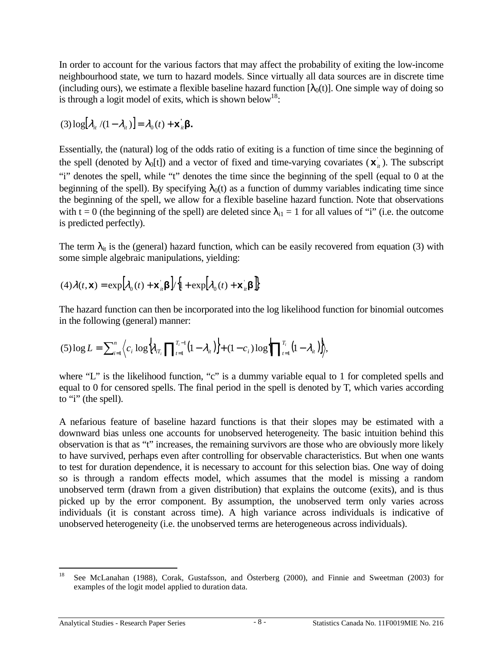In order to account for the various factors that may affect the probability of exiting the low-income neighbourhood state, we turn to hazard models. Since virtually all data sources are in discrete time (including ours), we estimate a flexible baseline hazard function  $[\lambda_0(t)]$ . One simple way of doing so is through a logit model of exits, which is shown below<sup>18</sup>:

$$
(3)\log[\lambda_{i} / (1 - \lambda_{i})] = \lambda_{0}(t) + \mathbf{x}_{i}^{\mathsf{T}}\mathbf{\beta}.
$$

Essentially, the (natural) log of the odds ratio of exiting is a function of time since the beginning of the spell (denoted by  $\lambda_0[t]$ ) and a vector of fixed and time-varying covariates  $(\mathbf{x}_i)$ ). The subscript "i" denotes the spell, while "t" denotes the time since the beginning of the spell (equal to 0 at the beginning of the spell). By specifying  $\lambda_0(t)$  as a function of dummy variables indicating time since the beginning of the spell, we allow for a flexible baseline hazard function. Note that observations with t = 0 (the beginning of the spell) are deleted since  $\lambda_{i1} = 1$  for all values of "i" (i.e. the outcome is predicted perfectly).

The term  $\lambda_{it}$  is the (general) hazard function, which can be easily recovered from equation (3) with some simple algebraic manipulations, yielding:

$$
(4)\lambda(t,\mathbf{x}) = \exp\left[\lambda_0(t) + \mathbf{x}_{it} \mathbf{\beta}\right] / \left\{1 + \exp\left[\lambda_0(t) + \mathbf{x}_{it} \mathbf{\beta}\right]\right\}
$$

The hazard function can then be incorporated into the log likelihood function for binomial outcomes in the following (general) manner:

$$
(5)\log L = \sum_{i=1}^{n} \Big\langle c_i \log \Big\{ \lambda_{iT_i} \prod_{t=1}^{T_i-1} \big( 1 - \lambda_{it} \big) \Big\} + (1 - c_i) \log \Big\{ \prod_{t=1}^{T_i} \big( 1 - \lambda_{it} \big) \Big\} \Big\rangle,
$$

where "L" is the likelihood function, "c" is a dummy variable equal to 1 for completed spells and equal to 0 for censored spells. The final period in the spell is denoted by T, which varies according to "i" (the spell).

A nefarious feature of baseline hazard functions is that their slopes may be estimated with a downward bias unless one accounts for unobserved heterogeneity. The basic intuition behind this observation is that as "t" increases, the remaining survivors are those who are obviously more likely to have survived, perhaps even after controlling for observable characteristics. But when one wants to test for duration dependence, it is necessary to account for this selection bias. One way of doing so is through a random effects model, which assumes that the model is missing a random unobserved term (drawn from a given distribution) that explains the outcome (exits), and is thus picked up by the error component. By assumption, the unobserved term only varies across individuals (it is constant across time). A high variance across individuals is indicative of unobserved heterogeneity (i.e. the unobserved terms are heterogeneous across individuals).

<sup>18</sup> 18 See McLanahan (1988), Corak, Gustafsson, and Österberg (2000), and Finnie and Sweetman (2003) for examples of the logit model applied to duration data.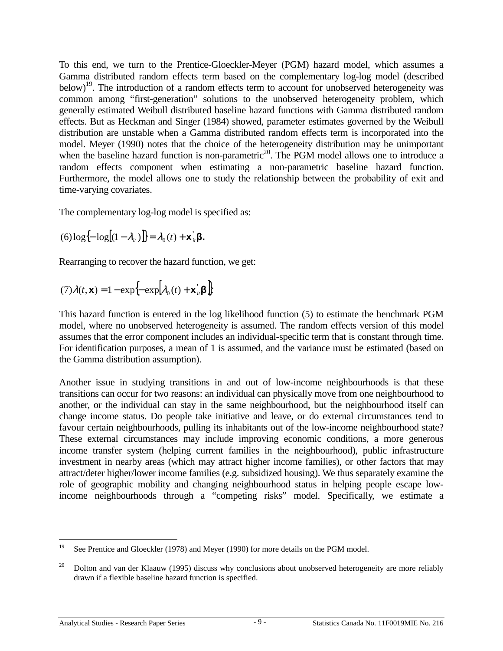To this end, we turn to the Prentice-Gloeckler-Meyer (PGM) hazard model, which assumes a Gamma distributed random effects term based on the complementary log-log model (described below)<sup>19</sup>. The introduction of a random effects term to account for unobserved heterogeneity was common among "first-generation" solutions to the unobserved heterogeneity problem, which generally estimated Weibull distributed baseline hazard functions with Gamma distributed random effects. But as Heckman and Singer (1984) showed, parameter estimates governed by the Weibull distribution are unstable when a Gamma distributed random effects term is incorporated into the model. Meyer (1990) notes that the choice of the heterogeneity distribution may be unimportant when the baseline hazard function is non-parametric<sup>20</sup>. The PGM model allows one to introduce a random effects component when estimating a non-parametric baseline hazard function. Furthermore, the model allows one to study the relationship between the probability of exit and time-varying covariates.

The complementary log-log model is specified as:

$$
(6)\log\{-\log[(1-\lambda_{it})]\} = \lambda_0(t) + \mathbf{x}_{it} \mathbf{\beta}.
$$

Rearranging to recover the hazard function, we get:

$$
(7)\lambda(t, \mathbf{x}) = 1 - \exp\left\{-\exp\left[\lambda_0(t) + \mathbf{x}_u^{\dagger} \boldsymbol{\beta}\right]\right\}
$$

This hazard function is entered in the log likelihood function (5) to estimate the benchmark PGM model, where no unobserved heterogeneity is assumed. The random effects version of this model assumes that the error component includes an individual-specific term that is constant through time. For identification purposes, a mean of 1 is assumed, and the variance must be estimated (based on the Gamma distribution assumption).

Another issue in studying transitions in and out of low-income neighbourhoods is that these transitions can occur for two reasons: an individual can physically move from one neighbourhood to another, or the individual can stay in the same neighbourhood, but the neighbourhood itself can change income status. Do people take initiative and leave, or do external circumstances tend to favour certain neighbourhoods, pulling its inhabitants out of the low-income neighbourhood state? These external circumstances may include improving economic conditions, a more generous income transfer system (helping current families in the neighbourhood), public infrastructure investment in nearby areas (which may attract higher income families), or other factors that may attract/deter higher/lower income families (e.g. subsidized housing). We thus separately examine the role of geographic mobility and changing neighbourhood status in helping people escape lowincome neighbourhoods through a "competing risks" model. Specifically, we estimate a

<sup>19</sup> See Prentice and Gloeckler (1978) and Meyer (1990) for more details on the PGM model.

<sup>&</sup>lt;sup>20</sup> Dolton and van der Klaauw (1995) discuss why conclusions about unobserved heterogeneity are more reliably drawn if a flexible baseline hazard function is specified.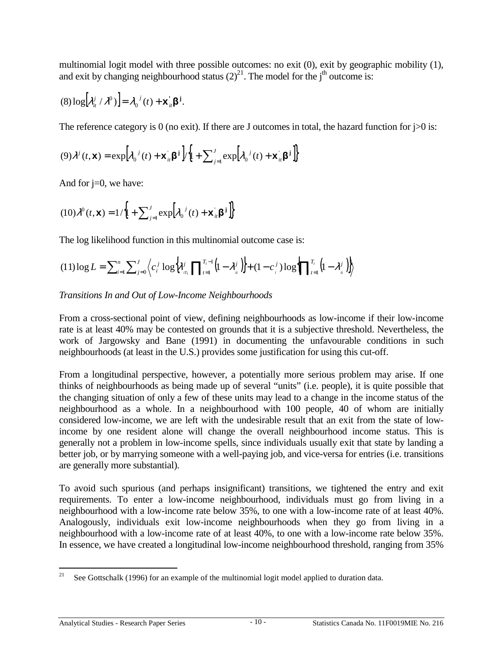multinomial logit model with three possible outcomes: no exit (0), exit by geographic mobility (1), and exit by changing neighbourhood status  $(2)^{21}$ . The model for the j<sup>th</sup> outcome is:

$$
(8) \log [\lambda_{i}^{j} / \lambda^{0})] = \lambda_{0}^{j}(t) + \mathbf{x}_{i}^{'} \boldsymbol{\beta}^{j}.
$$

The reference category is 0 (no exit). If there are J outcomes in total, the hazard function for  $\gamma > 0$  is:

$$
(9)\lambda^{j}(t,\mathbf{x}) = \exp\left[\lambda_0^{j}(t) + \mathbf{x}_{it} \mathbf{\beta}^{\mathbf{j}}\right] / \left[1 + \sum_{j=1}^{J} \exp\left[\lambda_0^{j}(t) + \mathbf{x}_{it} \mathbf{\beta}^{\mathbf{j}}\right]\right]
$$

And for  $j=0$ , we have:

$$
(10)\lambda^0(t,\mathbf{x}) = 1/\left\{1 + \sum_{j=1}^J \exp\left[\lambda_0^{\ j}(t) + \mathbf{x}_{it}^{\ \beta}\mathbf{B}^{\ j}\right]\right\}
$$

The log likelihood function in this multinomial outcome case is:

$$
(11) \log L = \sum_{i=1}^{n} \sum_{j=0}^{J} \left\langle c_i^j \log \left\{ \lambda_{i}^j \prod_{t=1}^{T_i-1} \left( 1 - \lambda_{i}^j \right) \right\} + (1 - c_i^j) \log \left\{ \prod_{t=1}^{T_i} \left( 1 - \lambda_{i}^j \right) \right\} \right\rangle
$$

# *Transitions In and Out of Low-Income Neighbourhoods*

From a cross-sectional point of view, defining neighbourhoods as low-income if their low-income rate is at least 40% may be contested on grounds that it is a subjective threshold. Nevertheless, the work of Jargowsky and Bane (1991) in documenting the unfavourable conditions in such neighbourhoods (at least in the U.S.) provides some justification for using this cut-off.

From a longitudinal perspective, however, a potentially more serious problem may arise. If one thinks of neighbourhoods as being made up of several "units" (i.e. people), it is quite possible that the changing situation of only a few of these units may lead to a change in the income status of the neighbourhood as a whole. In a neighbourhood with 100 people, 40 of whom are initially considered low-income, we are left with the undesirable result that an exit from the state of lowincome by one resident alone will change the overall neighbourhood income status. This is generally not a problem in low-income spells, since individuals usually exit that state by landing a better job, or by marrying someone with a well-paying job, and vice-versa for entries (i.e. transitions are generally more substantial).

To avoid such spurious (and perhaps insignificant) transitions, we tightened the entry and exit requirements. To enter a low-income neighbourhood, individuals must go from living in a neighbourhood with a low-income rate below 35%, to one with a low-income rate of at least 40%. Analogously, individuals exit low-income neighbourhoods when they go from living in a neighbourhood with a low-income rate of at least 40%, to one with a low-income rate below 35%. In essence, we have created a longitudinal low-income neighbourhood threshold, ranging from 35%

 $21$ See Gottschalk (1996) for an example of the multinomial logit model applied to duration data.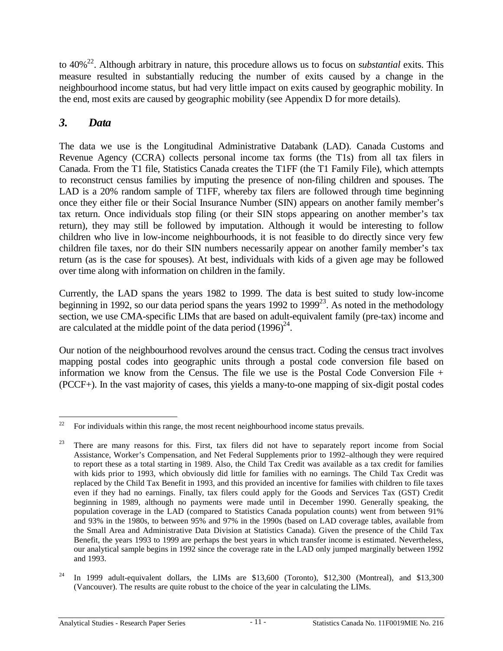<span id="page-14-0"></span>to 40%22. Although arbitrary in nature, this procedure allows us to focus on *substantial* exits. This measure resulted in substantially reducing the number of exits caused by a change in the neighbourhood income status, but had very little impact on exits caused by geographic mobility. In the end, most exits are caused by geographic mobility (see Appendix D for more details).

# *3. Data*

The data we use is the Longitudinal Administrative Databank (LAD). Canada Customs and Revenue Agency (CCRA) collects personal income tax forms (the T1s) from all tax filers in Canada. From the T1 file, Statistics Canada creates the T1FF (the T1 Family File), which attempts to reconstruct census families by imputing the presence of non-filing children and spouses. The LAD is a 20% random sample of T1FF, whereby tax filers are followed through time beginning once they either file or their Social Insurance Number (SIN) appears on another family member's tax return. Once individuals stop filing (or their SIN stops appearing on another member's tax return), they may still be followed by imputation. Although it would be interesting to follow children who live in low-income neighbourhoods, it is not feasible to do directly since very few children file taxes, nor do their SIN numbers necessarily appear on another family member's tax return (as is the case for spouses). At best, individuals with kids of a given age may be followed over time along with information on children in the family.

Currently, the LAD spans the years 1982 to 1999. The data is best suited to study low-income beginning in 1992, so our data period spans the years 1992 to 1999<sup>23</sup>. As noted in the methodology section, we use CMA-specific LIMs that are based on adult-equivalent family (pre-tax) income and are calculated at the middle point of the data period  $(1996)^{24}$ .

Our notion of the neighbourhood revolves around the census tract. Coding the census tract involves mapping postal codes into geographic units through a postal code conversion file based on information we know from the Census. The file we use is the Postal Code Conversion File + (PCCF+). In the vast majority of cases, this yields a many-to-one mapping of six-digit postal codes

<sup>22</sup> 22 For individuals within this range, the most recent neighbourhood income status prevails.

<sup>&</sup>lt;sup>23</sup> There are many reasons for this. First, tax filers did not have to separately report income from Social Assistance, Worker's Compensation, and Net Federal Supplements prior to 1992–although they were required to report these as a total starting in 1989. Also, the Child Tax Credit was available as a tax credit for families with kids prior to 1993, which obviously did little for families with no earnings. The Child Tax Credit was replaced by the Child Tax Benefit in 1993, and this provided an incentive for families with children to file taxes even if they had no earnings. Finally, tax filers could apply for the Goods and Services Tax (GST) Credit beginning in 1989, although no payments were made until in December 1990. Generally speaking, the population coverage in the LAD (compared to Statistics Canada population counts) went from between 91% and 93% in the 1980s, to between 95% and 97% in the 1990s (based on LAD coverage tables, available from the Small Area and Administrative Data Division at Statistics Canada). Given the presence of the Child Tax Benefit, the years 1993 to 1999 are perhaps the best years in which transfer income is estimated. Nevertheless, our analytical sample begins in 1992 since the coverage rate in the LAD only jumped marginally between 1992 and 1993.

<sup>&</sup>lt;sup>24</sup> In 1999 adult-equivalent dollars, the LIMs are \$13,600 (Toronto), \$12,300 (Montreal), and \$13,300 (Vancouver). The results are quite robust to the choice of the year in calculating the LIMs.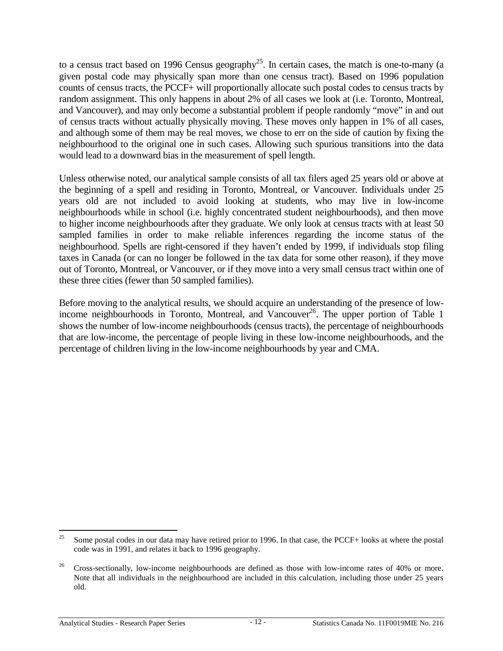to a census tract based on 1996 Census geography<sup>25</sup>. In certain cases, the match is one-to-many (a given postal code may physically span more than one census tract). Based on 1996 population counts of census tracts, the PCCF+ will proportionally allocate such postal codes to census tracts by random assignment. This only happens in about 2% of all cases we look at (i.e. Toronto, Montreal, and Vancouver), and may only become a substantial problem if people randomly "move" in and out of census tracts without actually physically moving. These moves only happen in 1% of all cases, and although some of them may be real moves, we chose to err on the side of caution by fixing the neighbourhood to the original one in such cases. Allowing such spurious transitions into the data would lead to a downward bias in the measurement of spell length.

Unless otherwise noted, our analytical sample consists of all tax filers aged 25 years old or above at the beginning of a spell and residing in Toronto, Montreal, or Vancouver. Individuals under 25 years old are not included to avoid looking at students, who may live in low-income neighbourhoods while in school (i.e. highly concentrated student neighbourhoods), and then move to higher income neighbourhoods after they graduate. We only look at census tracts with at least 50 sampled families in order to make reliable inferences regarding the income status of the neighbourhood. Spells are right-censored if they haven't ended by 1999, if individuals stop filing taxes in Canada (or can no longer be followed in the tax data for some other reason), if they move out of Toronto, Montreal, or Vancouver, or if they move into a very small census tract within one of these three cities (fewer than 50 sampled families).

Before moving to the analytical results, we should acquire an understanding of the presence of lowincome neighbourhoods in Toronto, Montreal, and Vancouver<sup>26</sup>. The upper portion of Table 1 shows the number of low-income neighbourhoods (census tracts), the percentage of neighbourhoods that are low-income, the percentage of people living in these low-income neighbourhoods, and the percentage of children living in the low-income neighbourhoods by year and CMA.

 $25$ 25 Some postal codes in our data may have retired prior to 1996. In that case, the PCCF+ looks at where the postal code was in 1991, and relates it back to 1996 geography.

 $26$  Cross-sectionally, low-income neighbourhoods are defined as those with low-income rates of 40% or more. Note that all individuals in the neighbourhood are included in this calculation, including those under 25 years old.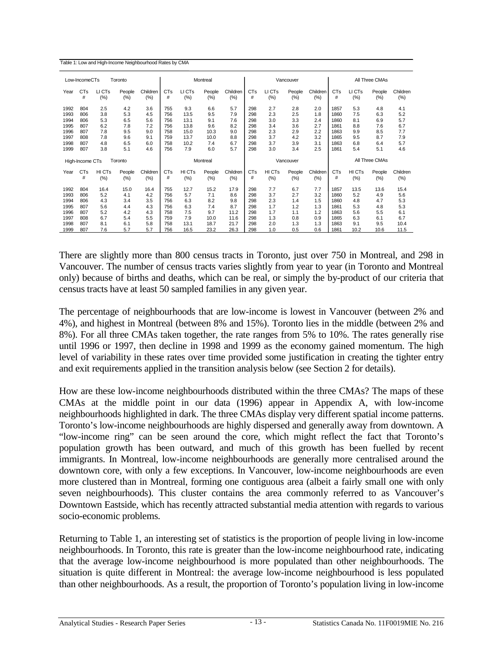| Table 1: Low and High-Income Neighbourhood Rates by CMA |  |
|---------------------------------------------------------|--|
|---------------------------------------------------------|--|

|      | All Three CMAs<br>Low-IncomeCTs<br>Toronto<br>Montreal<br>Vancouver |        |         |          |                       |        |        |           |            |        |        |                |            |        |        |          |
|------|---------------------------------------------------------------------|--------|---------|----------|-----------------------|--------|--------|-----------|------------|--------|--------|----------------|------------|--------|--------|----------|
| Year | <b>CTs</b>                                                          | LI CTs | People  | Children | <b>CT<sub>s</sub></b> | LI CTs | People | Children  | <b>CTs</b> | LI CTs | People | Children       | <b>CTs</b> | LI CTs | People | Children |
|      | #                                                                   | (%)    | $(\% )$ | (%)      | #                     | (%)    | (%)    | (% )      | #          | (%)    | (% )   | (%)            | #          | (% )   | (%)    | (%)      |
| 1992 | 804                                                                 | 2.5    | 4.2     | 3.6      | 755                   | 9.3    | 6.6    | 5.7       | 298        | 2.7    | 2.8    | 2.0            | 1857       | 5.3    | 4.8    | 4.1      |
| 1993 | 806                                                                 | 3.8    | 5.3     | 4.5      | 756                   | 13.5   | 9.5    | 7.9       | 298        | 2.3    | 2.5    | 1.8            | 1860       | 7.5    | 6.3    | 5.2      |
| 1994 | 806                                                                 | 5.3    | 6.5     | 5.6      | 756                   | 13.1   | 9.1    | 7.6       | 298        | 3.0    | 3.3    | 2.4            | 1860       | 8.1    | 6.9    | 5.7      |
| 1995 | 807                                                                 | 6.2    | 7.8     | 7.2      | 756                   | 13.8   | 9.6    | 8.2       | 298        | 3.4    | 3.6    | 2.7            | 1861       | 8.8    | 7.6    | 6.7      |
| 1996 | 807                                                                 | 7.8    | 9.5     | 9.0      | 758                   | 15.0   | 10.3   | 9.0       | 298        | 2.3    | 2.9    | 2.2            | 1863       | 9.9    | 8.5    | 7.7      |
| 1997 | 808                                                                 | 7.8    | 9.6     | 9.1      | 759                   | 13.7   | 10.0   | 8.8       | 298        | 3.7    | 4.2    | 3.2            | 1865       | 9.5    | 8.7    | 7.9      |
| 1998 | 807                                                                 | 4.8    | 6.5     | 6.0      | 758                   | 10.2   | 7.4    | 6.7       | 298        | 3.7    | 3.9    | 3.1            | 1863       | 6.8    | 6.4    | 5.7      |
| 1999 | 807                                                                 | 3.8    | 5.1     | 4.6      | 756                   | 7.9    | 6.0    | 5.7       | 298        | 3.0    | 3.4    | 2.5            | 1861       | 5.4    | 5.1    | 4.6      |
|      | High-Income CTs                                                     |        | Toronto |          | Montreal              |        |        | Vancouver |            |        |        | All Three CMAs |            |        |        |          |
| Year | <b>CTs</b>                                                          | HI CTs | People  | Children | <b>CTs</b>            | HI CTs | People | Children  | <b>CTs</b> | HI CTs | People | Children       | <b>CTs</b> | HI CTs | People | Children |
|      | #                                                                   | (%)    | $(\% )$ | (%)      | #                     | (% )   | (%)    | (% )      | #          | (%)    | (%)    | (%)            | #          | (% )   | (%)    | (%)      |
| 1992 | 804                                                                 | 16.4   | 15.0    | 16.4     | 755                   | 12.7   | 15.2   | 17.9      | 298        | 7.7    | 6.7    | 7.7            | 1857       | 13.5   | 13.6   | 15.4     |
| 1993 | 806                                                                 | 5.2    | 4.1     | 4.2      | 756                   | 5.7    | 7.1    | 8.6       | 298        | 3.7    | 2.7    | 3.2            | 1860       | 5.2    | 4.9    | 5.6      |
| 1994 | 806                                                                 | 4.3    | 3.4     | 3.5      | 756                   | 6.3    | 8.2    | 9.8       | 298        | 2.3    | 1.4    | 1.5            | 1860       | 4.8    | 4.7    | 5.3      |
| 1995 | 807                                                                 | 5.6    | 4.4     | 4.3      | 756                   | 6.3    | 7.4    | 8.7       | 298        | 1.7    | 1.2    | 1.3            | 1861       | 5.3    | 4.8    | 5.3      |
| 1996 | 807                                                                 | 5.2    | 4.2     | 4.3      | 758                   | 7.5    | 9.7    | 11.2      | 298        | 1.7    | 1.1    | 1.2            | 1863       | 5.6    | 5.5    | 6.1      |
| 1997 | 808                                                                 | 6.7    | 5.4     | 5.5      | 759                   | 7.9    | 10.0   | 11.6      | 298        | 1.3    | 0.8    | 0.9            | 1865       | 6.3    | 6.1    | 6.7      |
| 1998 | 807                                                                 | 8.1    | 6.1     | 5.8      | 758                   | 13.1   | 18.7   | 21.7      | 298        | 2.0    | 1.3    | 1.3            | 1863       | 9.1    | 9.5    | 10.4     |
| 1999 | 807                                                                 | 7.6    | 5.7     | 5.7      | 756                   | 16.5   | 23.2   | 26.3      | 298        | 1.0    | 0.5    | 0.6            | 1861       | 10.2   | 10.6   | 11.5     |

There are slightly more than 800 census tracts in Toronto, just over 750 in Montreal, and 298 in Vancouver. The number of census tracts varies slightly from year to year (in Toronto and Montreal only) because of births and deaths, which can be real, or simply the by-product of our criteria that census tracts have at least 50 sampled families in any given year.

The percentage of neighbourhoods that are low-income is lowest in Vancouver (between 2% and 4%), and highest in Montreal (between 8% and 15%). Toronto lies in the middle (between 2% and 8%). For all three CMAs taken together, the rate ranges from 5% to 10%. The rates generally rise until 1996 or 1997, then decline in 1998 and 1999 as the economy gained momentum. The high level of variability in these rates over time provided some justification in creating the tighter entry and exit requirements applied in the transition analysis below (see Section 2 for details).

How are these low-income neighbourhoods distributed within the three CMAs? The maps of these CMAs at the middle point in our data (1996) appear in Appendix A, with low-income neighbourhoods highlighted in dark. The three CMAs display very different spatial income patterns. Toronto's low-income neighbourhoods are highly dispersed and generally away from downtown. A "low-income ring" can be seen around the core, which might reflect the fact that Toronto's population growth has been outward, and much of this growth has been fuelled by recent immigrants. In Montreal, low-income neighbourhoods are generally more centralised around the downtown core, with only a few exceptions. In Vancouver, low-income neighbourhoods are even more clustered than in Montreal, forming one contiguous area (albeit a fairly small one with only seven neighbourhoods). This cluster contains the area commonly referred to as Vancouver's Downtown Eastside, which has recently attracted substantial media attention with regards to various socio-economic problems.

Returning to Table 1, an interesting set of statistics is the proportion of people living in low-income neighbourhoods. In Toronto, this rate is greater than the low-income neighbourhood rate, indicating that the average low-income neighbourhood is more populated than other neighbourhoods. The situation is quite different in Montreal: the average low-income neighbourhood is less populated than other neighbourhoods. As a result, the proportion of Toronto's population living in low-income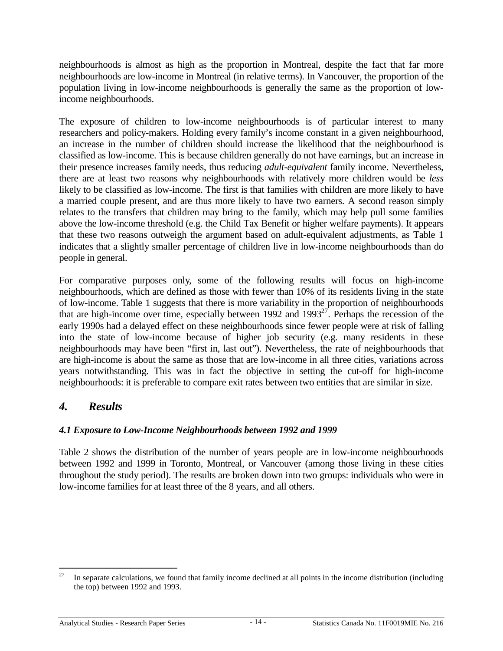<span id="page-17-0"></span>neighbourhoods is almost as high as the proportion in Montreal, despite the fact that far more neighbourhoods are low-income in Montreal (in relative terms). In Vancouver, the proportion of the population living in low-income neighbourhoods is generally the same as the proportion of lowincome neighbourhoods.

The exposure of children to low-income neighbourhoods is of particular interest to many researchers and policy-makers. Holding every family's income constant in a given neighbourhood, an increase in the number of children should increase the likelihood that the neighbourhood is classified as low-income. This is because children generally do not have earnings, but an increase in their presence increases family needs, thus reducing *adult-equivalent* family income. Nevertheless, there are at least two reasons why neighbourhoods with relatively more children would be *less* likely to be classified as low-income. The first is that families with children are more likely to have a married couple present, and are thus more likely to have two earners. A second reason simply relates to the transfers that children may bring to the family, which may help pull some families above the low-income threshold (e.g. the Child Tax Benefit or higher welfare payments). It appears that these two reasons outweigh the argument based on adult-equivalent adjustments, as Table 1 indicates that a slightly smaller percentage of children live in low-income neighbourhoods than do people in general.

For comparative purposes only, some of the following results will focus on high-income neighbourhoods, which are defined as those with fewer than 10% of its residents living in the state of low-income. Table 1 suggests that there is more variability in the proportion of neighbourhoods that are high-income over time, especially between 1992 and  $1993^{27}$ . Perhaps the recession of the early 1990s had a delayed effect on these neighbourhoods since fewer people were at risk of falling into the state of low-income because of higher job security (e.g. many residents in these neighbourhoods may have been "first in, last out"). Nevertheless, the rate of neighbourhoods that are high-income is about the same as those that are low-income in all three cities, variations across years notwithstanding. This was in fact the objective in setting the cut-off for high-income neighbourhoods: it is preferable to compare exit rates between two entities that are similar in size.

# *4. Results*

## *4.1 Exposure to Low-Income Neighbourhoods between 1992 and 1999*

Table 2 shows the distribution of the number of years people are in low-income neighbourhoods between 1992 and 1999 in Toronto, Montreal, or Vancouver (among those living in these cities throughout the study period). The results are broken down into two groups: individuals who were in low-income families for at least three of the 8 years, and all others.

<sup>27</sup> In separate calculations, we found that family income declined at all points in the income distribution (including the top) between 1992 and 1993.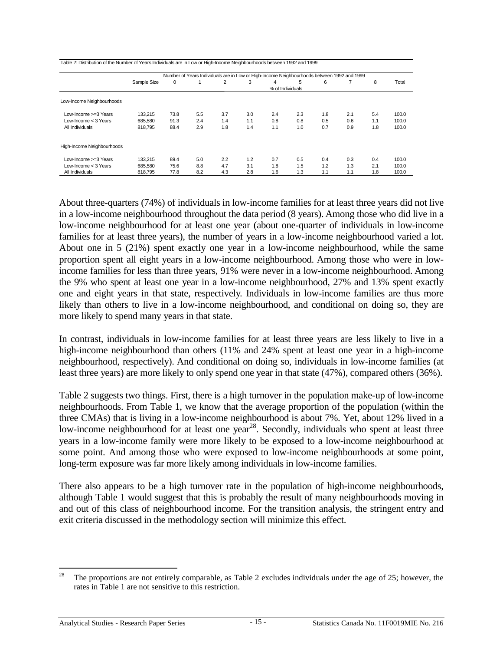| Table 2: Distribution of the Number of Years Individuals are in Low or High-Income Neighbourhoods between 1992 and 1999 |                  |      |     |     |     |     |     |     |     |     |       |
|-------------------------------------------------------------------------------------------------------------------------|------------------|------|-----|-----|-----|-----|-----|-----|-----|-----|-------|
| Number of Years Individuals are in Low or High-Income Neighbourhoods between 1992 and 1999                              |                  |      |     |     |     |     |     |     |     |     |       |
|                                                                                                                         | Sample Size      | 0    |     | 2   | 3   | 4   | 5.  | 6   | 7   | 8   | Total |
|                                                                                                                         | % of Individuals |      |     |     |     |     |     |     |     |     |       |
| Low-Income Neighbourhoods                                                                                               |                  |      |     |     |     |     |     |     |     |     |       |
| Low-Income $>=3$ Years                                                                                                  | 133,215          | 73.8 | 5.5 | 3.7 | 3.0 | 2.4 | 2.3 | 1.8 | 2.1 | 5.4 | 100.0 |
| Low-Income $<$ 3 Years                                                                                                  | 685,580          | 91.3 | 2.4 | 1.4 | 1.1 | 0.8 | 0.8 | 0.5 | 0.6 | 1.1 | 100.0 |
| All Individuals                                                                                                         | 818.795          | 88.4 | 2.9 | 1.8 | 1.4 | 1.1 | 1.0 | 0.7 | 0.9 | 1.8 | 100.0 |
| High-Income Neighbourhoods                                                                                              |                  |      |     |     |     |     |     |     |     |     |       |
| Low-Income $>=3$ Years                                                                                                  | 133.215          | 89.4 | 5.0 | 2.2 | 1.2 | 0.7 | 0.5 | 0.4 | 0.3 | 0.4 | 100.0 |
| Low-Income $<$ 3 Years                                                                                                  | 685.580          | 75.6 | 8.8 | 4.7 | 3.1 | 1.8 | 1.5 | 1.2 | 1.3 | 2.1 | 100.0 |
| All Individuals                                                                                                         | 818.795          | 77.8 | 8.2 | 4.3 | 2.8 | 1.6 | 1.3 | 1.1 | 1.1 | 1.8 | 100.0 |

About three-quarters (74%) of individuals in low-income families for at least three years did not live in a low-income neighbourhood throughout the data period (8 years). Among those who did live in a low-income neighbourhood for at least one year (about one-quarter of individuals in low-income families for at least three years), the number of years in a low-income neighbourhood varied a lot. About one in 5 (21%) spent exactly one year in a low-income neighbourhood, while the same proportion spent all eight years in a low-income neighbourhood. Among those who were in lowincome families for less than three years, 91% were never in a low-income neighbourhood. Among the 9% who spent at least one year in a low-income neighbourhood, 27% and 13% spent exactly one and eight years in that state, respectively. Individuals in low-income families are thus more likely than others to live in a low-income neighbourhood, and conditional on doing so, they are more likely to spend many years in that state.

In contrast, individuals in low-income families for at least three years are less likely to live in a high-income neighbourhood than others (11% and 24% spent at least one year in a high-income neighbourhood, respectively). And conditional on doing so, individuals in low-income families (at least three years) are more likely to only spend one year in that state (47%), compared others (36%).

Table 2 suggests two things. First, there is a high turnover in the population make-up of low-income neighbourhoods. From Table 1, we know that the average proportion of the population (within the three CMAs) that is living in a low-income neighbourhood is about 7%. Yet, about 12% lived in a low-income neighbourhood for at least one year<sup>28</sup>. Secondly, individuals who spent at least three years in a low-income family were more likely to be exposed to a low-income neighbourhood at some point. And among those who were exposed to low-income neighbourhoods at some point, long-term exposure was far more likely among individuals in low-income families.

There also appears to be a high turnover rate in the population of high-income neighbourhoods, although Table 1 would suggest that this is probably the result of many neighbourhoods moving in and out of this class of neighbourhood income. For the transition analysis, the stringent entry and exit criteria discussed in the methodology section will minimize this effect.

<sup>28</sup> 28 The proportions are not entirely comparable, as Table 2 excludes individuals under the age of 25; however, the rates in Table 1 are not sensitive to this restriction.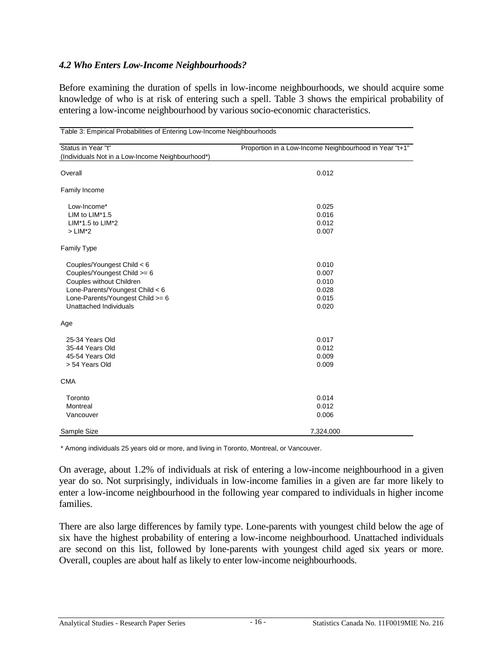#### <span id="page-19-0"></span>*4.2 Who Enters Low-Income Neighbourhoods?*

Before examining the duration of spells in low-income neighbourhoods, we should acquire some knowledge of who is at risk of entering such a spell. Table 3 shows the empirical probability of entering a low-income neighbourhood by various socio-economic characteristics.

| Table 3: Empirical Probabilities of Entering Low-Income Neighbourhoods                                                                                                                 |                                                        |  |  |  |  |  |
|----------------------------------------------------------------------------------------------------------------------------------------------------------------------------------------|--------------------------------------------------------|--|--|--|--|--|
| Status in Year "t"<br>(Individuals Not in a Low-Income Neighbourhood*)                                                                                                                 | Proportion in a Low-Income Neighbourhood in Year "t+1" |  |  |  |  |  |
| Overall                                                                                                                                                                                | 0.012                                                  |  |  |  |  |  |
| Family Income                                                                                                                                                                          |                                                        |  |  |  |  |  |
| Low-Income*<br>LIM to LIM*1.5<br>LIM*1.5 to LIM*2<br>$>$ LIM*2                                                                                                                         | 0.025<br>0.016<br>0.012<br>0.007                       |  |  |  |  |  |
| Family Type                                                                                                                                                                            |                                                        |  |  |  |  |  |
| Couples/Youngest Child < 6<br>Couples/Youngest Child >= 6<br>Couples without Children<br>Lone-Parents/Youngest Child < 6<br>Lone-Parents/Youngest Child >= 6<br>Unattached Individuals | 0.010<br>0.007<br>0.010<br>0.028<br>0.015<br>0.020     |  |  |  |  |  |
| Age                                                                                                                                                                                    |                                                        |  |  |  |  |  |
| 25-34 Years Old<br>35-44 Years Old<br>45-54 Years Old<br>> 54 Years Old                                                                                                                | 0.017<br>0.012<br>0.009<br>0.009                       |  |  |  |  |  |
| <b>CMA</b>                                                                                                                                                                             |                                                        |  |  |  |  |  |
| Toronto<br>Montreal<br>Vancouver                                                                                                                                                       | 0.014<br>0.012<br>0.006                                |  |  |  |  |  |
| Sample Size                                                                                                                                                                            | 7,324,000                                              |  |  |  |  |  |

\* Among individuals 25 years old or more, and living in Toronto, Montreal, or Vancouver.

On average, about 1.2% of individuals at risk of entering a low-income neighbourhood in a given year do so. Not surprisingly, individuals in low-income families in a given are far more likely to enter a low-income neighbourhood in the following year compared to individuals in higher income families.

There are also large differences by family type. Lone-parents with youngest child below the age of six have the highest probability of entering a low-income neighbourhood. Unattached individuals are second on this list, followed by lone-parents with youngest child aged six years or more. Overall, couples are about half as likely to enter low-income neighbourhoods.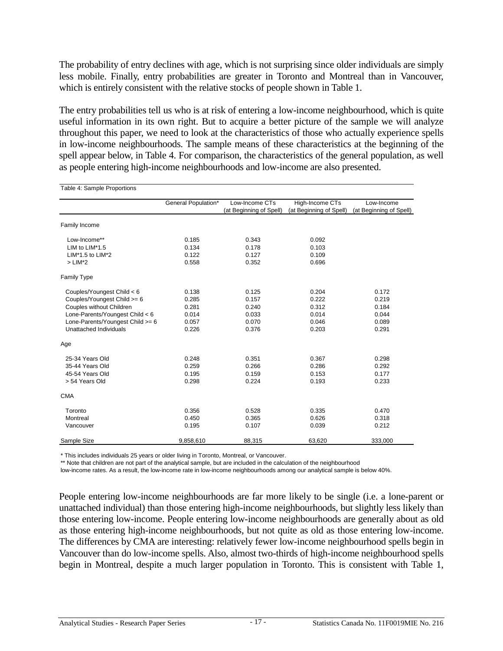The probability of entry declines with age, which is not surprising since older individuals are simply less mobile. Finally, entry probabilities are greater in Toronto and Montreal than in Vancouver, which is entirely consistent with the relative stocks of people shown in Table 1.

The entry probabilities tell us who is at risk of entering a low-income neighbourhood, which is quite useful information in its own right. But to acquire a better picture of the sample we will analyze throughout this paper, we need to look at the characteristics of those who actually experience spells in low-income neighbourhoods. The sample means of these characteristics at the beginning of the spell appear below, in Table 4. For comparison, the characteristics of the general population, as well as people entering high-income neighbourhoods and low-income are also presented.

| Table 4: Sample Proportions      |                     |                                           |                                            |                                       |
|----------------------------------|---------------------|-------------------------------------------|--------------------------------------------|---------------------------------------|
|                                  | General Population* | Low-Income CTs<br>(at Beginning of Spell) | High-Income CTs<br>(at Beginning of Spell) | Low-Income<br>(at Beginning of Spell) |
|                                  |                     |                                           |                                            |                                       |
| Family Income                    |                     |                                           |                                            |                                       |
| Low-Income**                     | 0.185               | 0.343                                     | 0.092                                      |                                       |
| LIM to LIM*1.5                   | 0.134               | 0.178                                     | 0.103                                      |                                       |
| LIM*1.5 to LIM*2                 | 0.122               | 0.127                                     | 0.109                                      |                                       |
| $>$ LIM*2                        | 0.558               | 0.352                                     | 0.696                                      |                                       |
| Family Type                      |                     |                                           |                                            |                                       |
| Couples/Youngest Child < 6       | 0.138               | 0.125                                     | 0.204                                      | 0.172                                 |
| Couples/Youngest Child >= 6      | 0.285               | 0.157                                     | 0.222                                      | 0.219                                 |
| Couples without Children         | 0.281               | 0.240                                     | 0.312                                      | 0.184                                 |
| Lone-Parents/Youngest Child < 6  | 0.014               | 0.033                                     | 0.014                                      | 0.044                                 |
| Lone-Parents/Youngest Child >= 6 | 0.057               | 0.070                                     | 0.046                                      | 0.089                                 |
| Unattached Individuals           | 0.226               | 0.376                                     | 0.203                                      | 0.291                                 |
| Age                              |                     |                                           |                                            |                                       |
| 25-34 Years Old                  | 0.248               | 0.351                                     | 0.367                                      | 0.298                                 |
| 35-44 Years Old                  | 0.259               | 0.266                                     | 0.286                                      | 0.292                                 |
| 45-54 Years Old                  | 0.195               | 0.159                                     | 0.153                                      | 0.177                                 |
| > 54 Years Old                   | 0.298               | 0.224                                     | 0.193                                      | 0.233                                 |
| <b>CMA</b>                       |                     |                                           |                                            |                                       |
| Toronto                          | 0.356               | 0.528                                     | 0.335                                      | 0.470                                 |
| Montreal                         | 0.450               | 0.365                                     | 0.626                                      | 0.318                                 |
| Vancouver                        | 0.195               | 0.107                                     | 0.039                                      | 0.212                                 |
| Sample Size                      | 9,858,610           | 88,315                                    | 63,620                                     | 333,000                               |

\* This includes individuals 25 years or older living in Toronto, Montreal, or Vancouver.

\*\* Note that children are not part of the analytical sample, but are included in the calculation of the neighbourhood

low-income rates. As a result, the low-income rate in low-income neighbourhoods among our analytical sample is below 40%.

People entering low-income neighbourhoods are far more likely to be single (i.e. a lone-parent or unattached individual) than those entering high-income neighbourhoods, but slightly less likely than those entering low-income. People entering low-income neighbourhoods are generally about as old as those entering high-income neighbourhoods, but not quite as old as those entering low-income. The differences by CMA are interesting: relatively fewer low-income neighbourhood spells begin in Vancouver than do low-income spells. Also, almost two-thirds of high-income neighbourhood spells begin in Montreal, despite a much larger population in Toronto. This is consistent with Table 1,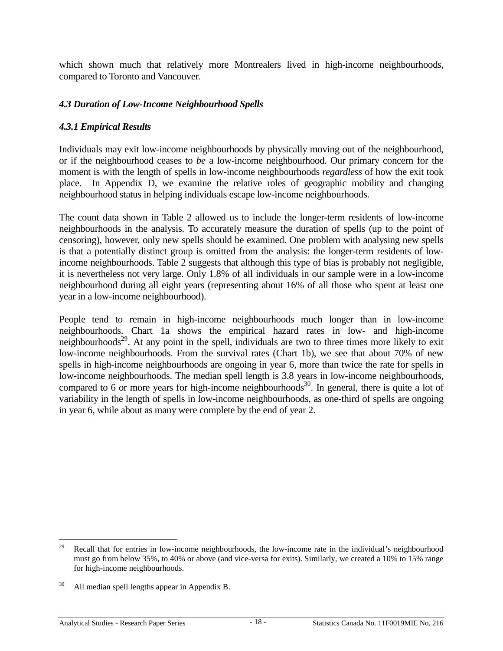<span id="page-21-0"></span>which shown much that relatively more Montrealers lived in high-income neighbourhoods, compared to Toronto and Vancouver.

## *4.3 Duration of Low-Income Neighbourhood Spells*

## *4.3.1 Empirical Results*

Individuals may exit low-income neighbourhoods by physically moving out of the neighbourhood, or if the neighbourhood ceases to *be* a low-income neighbourhood. Our primary concern for the moment is with the length of spells in low-income neighbourhoods *regardless* of how the exit took place. In Appendix D, we examine the relative roles of geographic mobility and changing neighbourhood status in helping individuals escape low-income neighbourhoods.

The count data shown in Table 2 allowed us to include the longer-term residents of low-income neighbourhoods in the analysis. To accurately measure the duration of spells (up to the point of censoring), however, only new spells should be examined. One problem with analysing new spells is that a potentially distinct group is omitted from the analysis: the longer-term residents of lowincome neighbourhoods. Table 2 suggests that although this type of bias is probably not negligible, it is nevertheless not very large. Only 1.8% of all individuals in our sample were in a low-income neighbourhood during all eight years (representing about 16% of all those who spent at least one year in a low-income neighbourhood).

People tend to remain in high-income neighbourhoods much longer than in low-income neighbourhoods. Chart 1a shows the empirical hazard rates in low- and high-income neighbourhoods<sup>29</sup>. At any point in the spell, individuals are two to three times more likely to exit low-income neighbourhoods. From the survival rates (Chart 1b), we see that about 70% of new spells in high-income neighbourhoods are ongoing in year 6, more than twice the rate for spells in low-income neighbourhoods. The median spell length is 3.8 years in low-income neighbourhoods, compared to 6 or more years for high-income neighbourhoods<sup>30</sup>. In general, there is quite a lot of variability in the length of spells in low-income neighbourhoods, as one-third of spells are ongoing in year 6, while about as many were complete by the end of year 2.

<sup>29</sup> Recall that for entries in low-income neighbourhoods, the low-income rate in the individual's neighbourhood must go from below 35%, to 40% or above (and vice-versa for exits). Similarly, we created a 10% to 15% range for high-income neighbourhoods.

<sup>&</sup>lt;sup>30</sup> All median spell lengths appear in Appendix B.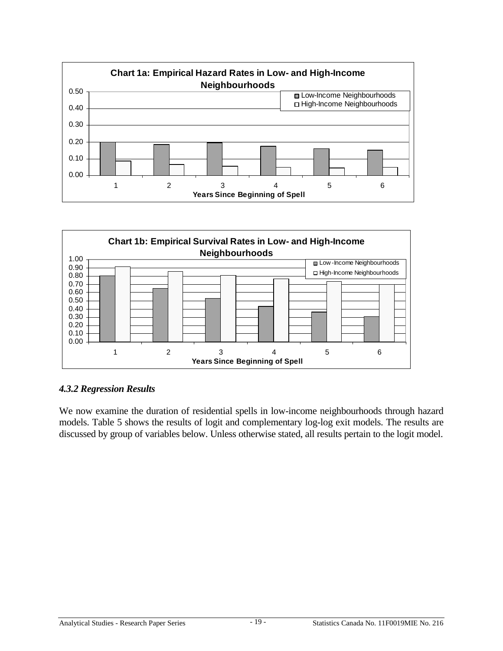<span id="page-22-0"></span>



#### *4.3.2 Regression Results*

We now examine the duration of residential spells in low-income neighbourhoods through hazard models. Table 5 shows the results of logit and complementary log-log exit models. The results are discussed by group of variables below. Unless otherwise stated, all results pertain to the logit model.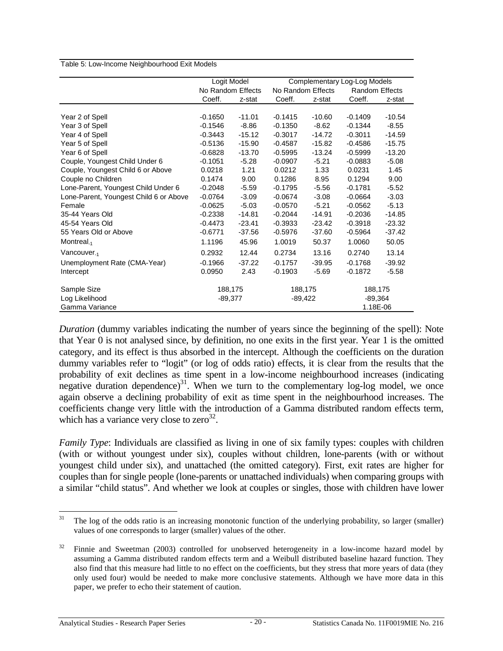Table 5: Low-Income Neighbourhood Exit Models

|                                        | Logit Model       |           | Complementary Log-Log Models |                   |           |                       |  |
|----------------------------------------|-------------------|-----------|------------------------------|-------------------|-----------|-----------------------|--|
|                                        | No Random Effects |           |                              | No Random Effects |           | <b>Random Effects</b> |  |
|                                        | Coeff.            | z-stat    | Coeff.                       | z-stat            | Coeff.    | z-stat                |  |
|                                        |                   |           |                              |                   |           |                       |  |
| Year 2 of Spell                        | $-0.1650$         | $-11.01$  | $-0.1415$                    | $-10.60$          | $-0.1409$ | $-10.54$              |  |
| Year 3 of Spell                        | $-0.1546$         | $-8.86$   | $-0.1350$                    | $-8.62$           | -0.1344   | $-8.55$               |  |
| Year 4 of Spell                        | $-0.3443$         | $-15.12$  | $-0.3017$                    | $-14.72$          | $-0.3011$ | $-14.59$              |  |
| Year 5 of Spell                        | $-0.5136$         | $-15.90$  | $-0.4587$                    | $-15.82$          | $-0.4586$ | $-15.75$              |  |
| Year 6 of Spell                        | $-0.6828$         | $-13.70$  | $-0.5995$                    | $-13.24$          | $-0.5999$ | $-13.20$              |  |
| Couple, Youngest Child Under 6         | $-0.1051$         | $-5.28$   | $-0.0907$                    | $-5.21$           | $-0.0883$ | $-5.08$               |  |
| Couple, Youngest Child 6 or Above      | 0.0218            | 1.21      | 0.0212                       | 1.33              | 0.0231    | 1.45                  |  |
| Couple no Children                     | 0.1474            | 9.00      | 0.1286                       | 8.95              | 0.1294    | 9.00                  |  |
| Lone-Parent, Youngest Child Under 6    | $-0.2048$         | $-5.59$   | $-0.1795$                    | $-5.56$           | $-0.1781$ | $-5.52$               |  |
| Lone-Parent, Youngest Child 6 or Above | $-0.0764$         | $-3.09$   | $-0.0674$                    | $-3.08$           | $-0.0664$ | $-3.03$               |  |
| Female                                 | $-0.0625$         | $-5.03$   | $-0.0570$                    | $-5.21$           | $-0.0562$ | $-5.13$               |  |
| 35-44 Years Old                        | $-0.2338$         | $-14.81$  | $-0.2044$                    | $-14.91$          | $-0.2036$ | $-14.85$              |  |
| 45-54 Years Old                        | $-0.4473$         | $-23.41$  | $-0.3933$                    | $-23.42$          | $-0.3918$ | $-23.32$              |  |
| 55 Years Old or Above                  | $-0.6771$         | $-37.56$  | $-0.5976$                    | $-37.60$          | $-0.5964$ | $-37.42$              |  |
| Montreal <sub>-1</sub>                 | 1.1196            | 45.96     | 1.0019                       | 50.37             | 1.0060    | 50.05                 |  |
| Vancouver <sub>-1</sub>                | 0.2932            | 12.44     | 0.2734                       | 13.16             | 0.2740    | 13.14                 |  |
| Unemployment Rate (CMA-Year)           | $-0.1966$         | $-37.22$  | $-0.1757$                    | $-39.95$          | $-0.1768$ | $-39.92$              |  |
| Intercept                              | 0.0950            | 2.43      | $-0.1903$                    | $-5.69$           | $-0.1872$ | $-5.58$               |  |
| Sample Size                            | 188,175           |           |                              | 188,175           |           | 188,175               |  |
| Log Likelihood                         |                   | $-89,377$ | $-89,422$                    |                   | $-89,364$ |                       |  |
| Gamma Variance                         |                   |           |                              |                   | 1.18E-06  |                       |  |

*Duration* (dummy variables indicating the number of years since the beginning of the spell): Note that Year 0 is not analysed since, by definition, no one exits in the first year. Year 1 is the omitted category, and its effect is thus absorbed in the intercept. Although the coefficients on the duration dummy variables refer to "logit" (or log of odds ratio) effects, it is clear from the results that the probability of exit declines as time spent in a low-income neighbourhood increases (indicating negative duration dependence)<sup>31</sup>. When we turn to the complementary log-log model, we once again observe a declining probability of exit as time spent in the neighbourhood increases. The coefficients change very little with the introduction of a Gamma distributed random effects term, which has a variance very close to  $zero^{32}$ .

*Family Type*: Individuals are classified as living in one of six family types: couples with children (with or without youngest under six), couples without children, lone-parents (with or without youngest child under six), and unattached (the omitted category). First, exit rates are higher for couples than for single people (lone-parents or unattached individuals) when comparing groups with a similar "child status". And whether we look at couples or singles, those with children have lower

<sup>31</sup> The log of the odds ratio is an increasing monotonic function of the underlying probability, so larger (smaller) values of one corresponds to larger (smaller) values of the other.

 $32$  Finnie and Sweetman (2003) controlled for unobserved heterogeneity in a low-income hazard model by assuming a Gamma distributed random effects term and a Weibull distributed baseline hazard function. They also find that this measure had little to no effect on the coefficients, but they stress that more years of data (they only used four) would be needed to make more conclusive statements. Although we have more data in this paper, we prefer to echo their statement of caution.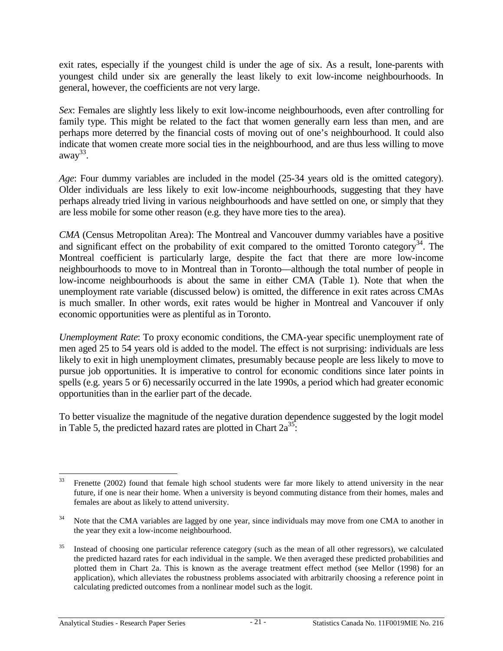exit rates, especially if the youngest child is under the age of six. As a result, lone-parents with youngest child under six are generally the least likely to exit low-income neighbourhoods. In general, however, the coefficients are not very large.

*Sex*: Females are slightly less likely to exit low-income neighbourhoods, even after controlling for family type. This might be related to the fact that women generally earn less than men, and are perhaps more deterred by the financial costs of moving out of one's neighbourhood. It could also indicate that women create more social ties in the neighbourhood, and are thus less willing to move away $33$ .

*Age*: Four dummy variables are included in the model (25-34 years old is the omitted category). Older individuals are less likely to exit low-income neighbourhoods, suggesting that they have perhaps already tried living in various neighbourhoods and have settled on one, or simply that they are less mobile for some other reason (e.g. they have more ties to the area).

*CMA* (Census Metropolitan Area): The Montreal and Vancouver dummy variables have a positive and significant effect on the probability of exit compared to the omitted Toronto category<sup>34</sup>. The Montreal coefficient is particularly large, despite the fact that there are more low-income neighbourhoods to move to in Montreal than in Toronto––although the total number of people in low-income neighbourhoods is about the same in either CMA (Table 1). Note that when the unemployment rate variable (discussed below) is omitted, the difference in exit rates across CMAs is much smaller. In other words, exit rates would be higher in Montreal and Vancouver if only economic opportunities were as plentiful as in Toronto.

*Unemployment Rate*: To proxy economic conditions, the CMA-year specific unemployment rate of men aged 25 to 54 years old is added to the model. The effect is not surprising: individuals are less likely to exit in high unemployment climates, presumably because people are less likely to move to pursue job opportunities. It is imperative to control for economic conditions since later points in spells (e.g. years 5 or 6) necessarily occurred in the late 1990s, a period which had greater economic opportunities than in the earlier part of the decade.

To better visualize the magnitude of the negative duration dependence suggested by the logit model in Table 5, the predicted hazard rates are plotted in Chart  $2a^{35}$ .

<sup>33</sup> 33 Frenette (2002) found that female high school students were far more likely to attend university in the near future, if one is near their home. When a university is beyond commuting distance from their homes, males and females are about as likely to attend university.

<sup>&</sup>lt;sup>34</sup> Note that the CMA variables are lagged by one year, since individuals may move from one CMA to another in the year they exit a low-income neighbourhood.

<sup>35</sup> Instead of choosing one particular reference category (such as the mean of all other regressors), we calculated the predicted hazard rates for each individual in the sample. We then averaged these predicted probabilities and plotted them in Chart 2a. This is known as the average treatment effect method (see Mellor (1998) for an application), which alleviates the robustness problems associated with arbitrarily choosing a reference point in calculating predicted outcomes from a nonlinear model such as the logit.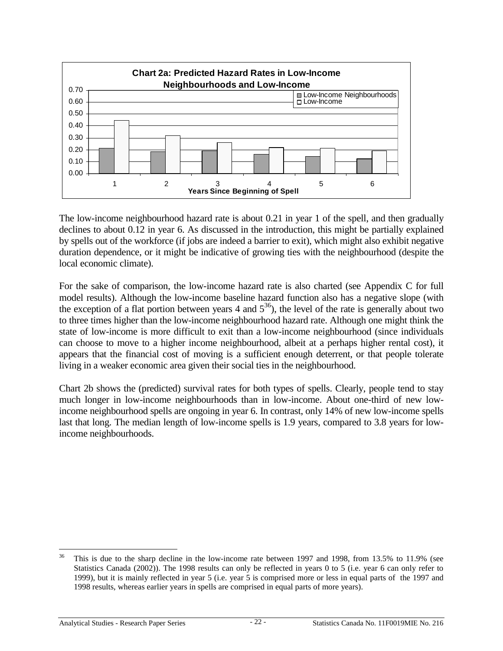

The low-income neighbourhood hazard rate is about 0.21 in year 1 of the spell, and then gradually declines to about 0.12 in year 6. As discussed in the introduction, this might be partially explained by spells out of the workforce (if jobs are indeed a barrier to exit), which might also exhibit negative duration dependence, or it might be indicative of growing ties with the neighbourhood (despite the local economic climate).

For the sake of comparison, the low-income hazard rate is also charted (see Appendix C for full model results). Although the low-income baseline hazard function also has a negative slope (with the exception of a flat portion between years 4 and  $5^{36}$ ), the level of the rate is generally about two to three times higher than the low-income neighbourhood hazard rate. Although one might think the state of low-income is more difficult to exit than a low-income neighbourhood (since individuals can choose to move to a higher income neighbourhood, albeit at a perhaps higher rental cost), it appears that the financial cost of moving is a sufficient enough deterrent, or that people tolerate living in a weaker economic area given their social ties in the neighbourhood.

Chart 2b shows the (predicted) survival rates for both types of spells. Clearly, people tend to stay much longer in low-income neighbourhoods than in low-income. About one-third of new lowincome neighbourhood spells are ongoing in year 6. In contrast, only 14% of new low-income spells last that long. The median length of low-income spells is 1.9 years, compared to 3.8 years for lowincome neighbourhoods.

<sup>36</sup> This is due to the sharp decline in the low-income rate between 1997 and 1998, from 13.5% to 11.9% (see Statistics Canada (2002)). The 1998 results can only be reflected in years 0 to 5 (i.e. year 6 can only refer to 1999), but it is mainly reflected in year 5 (i.e. year 5 is comprised more or less in equal parts of the 1997 and 1998 results, whereas earlier years in spells are comprised in equal parts of more years).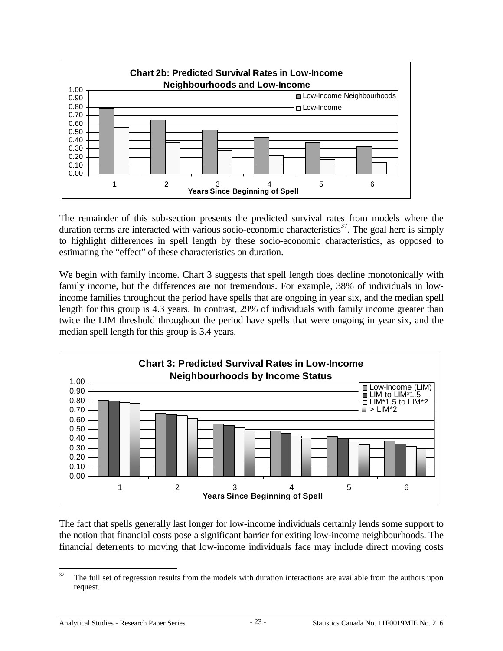

The remainder of this sub-section presents the predicted survival rates from models where the duration terms are interacted with various socio-economic characteristics<sup>37</sup>. The goal here is simply to highlight differences in spell length by these socio-economic characteristics, as opposed to estimating the "effect" of these characteristics on duration.

We begin with family income. Chart 3 suggests that spell length does decline monotonically with family income, but the differences are not tremendous. For example, 38% of individuals in lowincome families throughout the period have spells that are ongoing in year six, and the median spell length for this group is 4.3 years. In contrast, 29% of individuals with family income greater than twice the LIM threshold throughout the period have spells that were ongoing in year six, and the median spell length for this group is 3.4 years.



The fact that spells generally last longer for low-income individuals certainly lends some support to the notion that financial costs pose a significant barrier for exiting low-income neighbourhoods. The financial deterrents to moving that low-income individuals face may include direct moving costs

 $37$ The full set of regression results from the models with duration interactions are available from the authors upon request.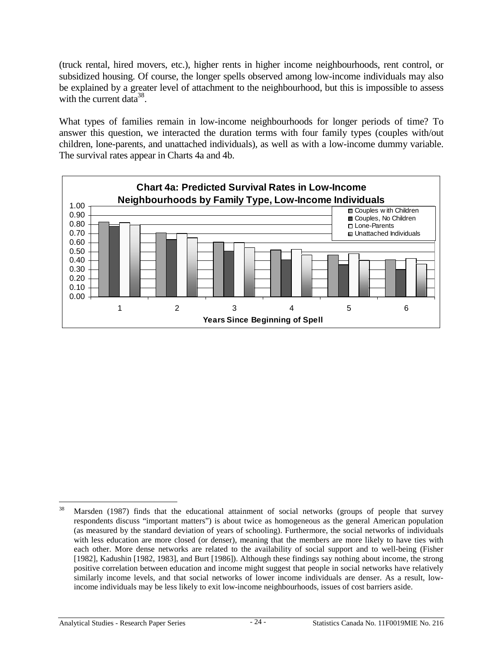(truck rental, hired movers, etc.), higher rents in higher income neighbourhoods, rent control, or subsidized housing. Of course, the longer spells observed among low-income individuals may also be explained by a greater level of attachment to the neighbourhood, but this is impossible to assess with the current data<sup>38</sup>.

What types of families remain in low-income neighbourhoods for longer periods of time? To answer this question, we interacted the duration terms with four family types (couples with/out children, lone-parents, and unattached individuals), as well as with a low-income dummy variable. The survival rates appear in Charts 4a and 4b.



<sup>38</sup> Marsden (1987) finds that the educational attainment of social networks (groups of people that survey respondents discuss "important matters") is about twice as homogeneous as the general American population (as measured by the standard deviation of years of schooling). Furthermore, the social networks of individuals with less education are more closed (or denser), meaning that the members are more likely to have ties with each other. More dense networks are related to the availability of social support and to well-being (Fisher [1982], Kadushin [1982, 1983], and Burt [1986]). Although these findings say nothing about income, the strong positive correlation between education and income might suggest that people in social networks have relatively similarly income levels, and that social networks of lower income individuals are denser. As a result, lowincome individuals may be less likely to exit low-income neighbourhoods, issues of cost barriers aside.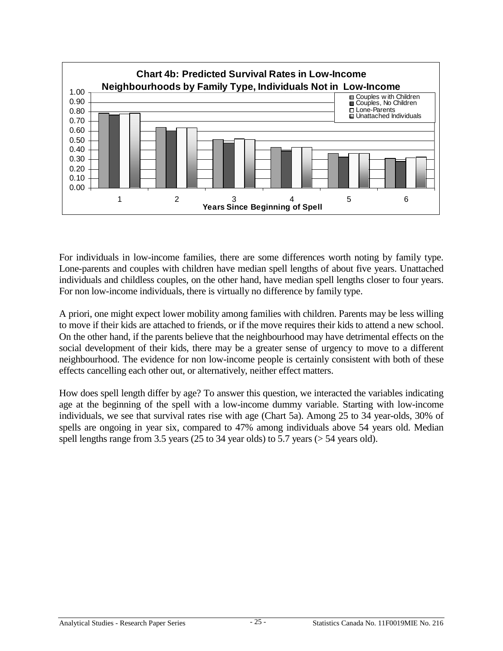

For individuals in low-income families, there are some differences worth noting by family type. Lone-parents and couples with children have median spell lengths of about five years. Unattached individuals and childless couples, on the other hand, have median spell lengths closer to four years. For non low-income individuals, there is virtually no difference by family type.

A priori, one might expect lower mobility among families with children. Parents may be less willing to move if their kids are attached to friends, or if the move requires their kids to attend a new school. On the other hand, if the parents believe that the neighbourhood may have detrimental effects on the social development of their kids, there may be a greater sense of urgency to move to a different neighbourhood. The evidence for non low-income people is certainly consistent with both of these effects cancelling each other out, or alternatively, neither effect matters.

How does spell length differ by age? To answer this question, we interacted the variables indicating age at the beginning of the spell with a low-income dummy variable. Starting with low-income individuals, we see that survival rates rise with age (Chart 5a). Among 25 to 34 year-olds, 30% of spells are ongoing in year six, compared to 47% among individuals above 54 years old. Median spell lengths range from 3.5 years (25 to 34 year olds) to 5.7 years ( $>$  54 years old).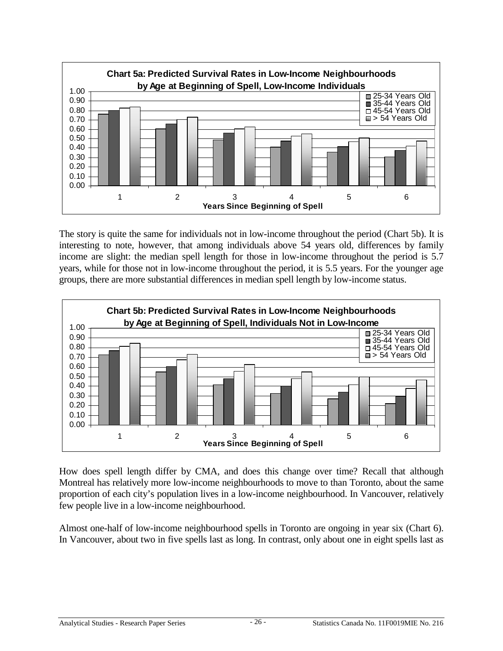

The story is quite the same for individuals not in low-income throughout the period (Chart 5b). It is interesting to note, however, that among individuals above 54 years old, differences by family income are slight: the median spell length for those in low-income throughout the period is 5.7 years, while for those not in low-income throughout the period, it is 5.5 years. For the younger age groups, there are more substantial differences in median spell length by low-income status.



How does spell length differ by CMA, and does this change over time? Recall that although Montreal has relatively more low-income neighbourhoods to move to than Toronto, about the same proportion of each city's population lives in a low-income neighbourhood. In Vancouver, relatively few people live in a low-income neighbourhood.

Almost one-half of low-income neighbourhood spells in Toronto are ongoing in year six (Chart 6). In Vancouver, about two in five spells last as long. In contrast, only about one in eight spells last as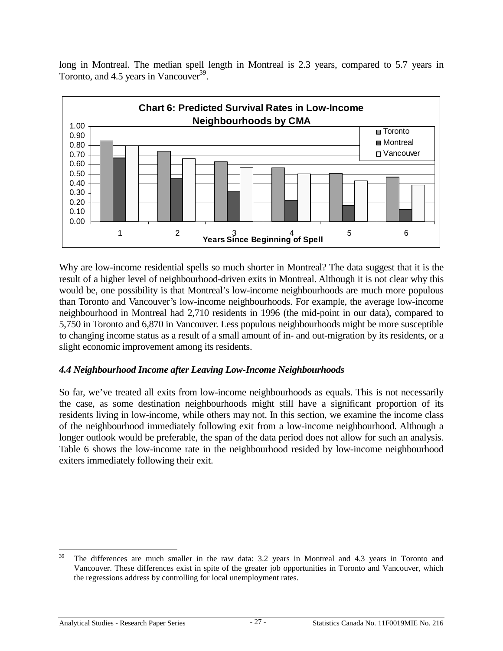<span id="page-30-0"></span>long in Montreal. The median spell length in Montreal is 2.3 years, compared to 5.7 years in Toronto, and  $4.5$  years in Vancouver<sup>39</sup>.



Why are low-income residential spells so much shorter in Montreal? The data suggest that it is the result of a higher level of neighbourhood-driven exits in Montreal. Although it is not clear why this would be, one possibility is that Montreal's low-income neighbourhoods are much more populous than Toronto and Vancouver's low-income neighbourhoods. For example, the average low-income neighbourhood in Montreal had 2,710 residents in 1996 (the mid-point in our data), compared to 5,750 in Toronto and 6,870 in Vancouver. Less populous neighbourhoods might be more susceptible to changing income status as a result of a small amount of in- and out-migration by its residents, or a slight economic improvement among its residents.

## *4.4 Neighbourhood Income after Leaving Low-Income Neighbourhoods*

So far, we've treated all exits from low-income neighbourhoods as equals. This is not necessarily the case, as some destination neighbourhoods might still have a significant proportion of its residents living in low-income, while others may not. In this section, we examine the income class of the neighbourhood immediately following exit from a low-income neighbourhood. Although a longer outlook would be preferable, the span of the data period does not allow for such an analysis. Table 6 shows the low-income rate in the neighbourhood resided by low-income neighbourhood exiters immediately following their exit.

<sup>39</sup> The differences are much smaller in the raw data: 3.2 years in Montreal and 4.3 years in Toronto and Vancouver. These differences exist in spite of the greater job opportunities in Toronto and Vancouver, which the regressions address by controlling for local unemployment rates.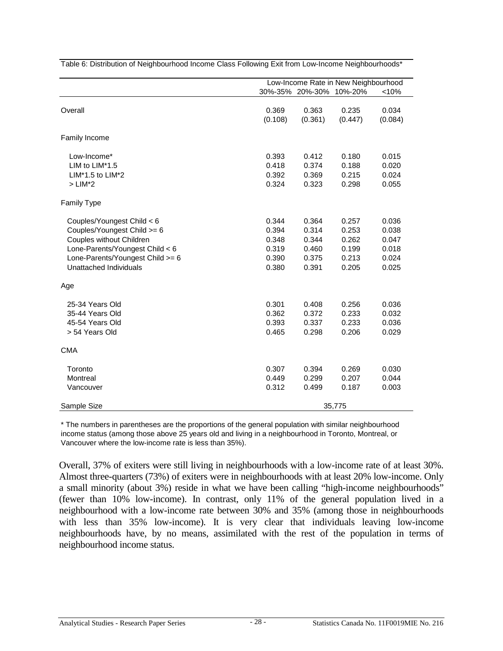|                                                                                                                                                                                        |                                                    | Low-Income Rate in New Neighbourhood               |                                                    |                                                    |  |  |
|----------------------------------------------------------------------------------------------------------------------------------------------------------------------------------------|----------------------------------------------------|----------------------------------------------------|----------------------------------------------------|----------------------------------------------------|--|--|
|                                                                                                                                                                                        |                                                    | 30%-35% 20%-30% 10%-20%                            |                                                    | < 10%                                              |  |  |
| Overall                                                                                                                                                                                | 0.369<br>(0.108)                                   | 0.363<br>(0.361)                                   | 0.235<br>(0.447)                                   | 0.034<br>(0.084)                                   |  |  |
| Family Income                                                                                                                                                                          |                                                    |                                                    |                                                    |                                                    |  |  |
| Low-Income*<br>LIM to LIM*1.5<br>LIM*1.5 to LIM*2<br>$>$ LIM*2                                                                                                                         | 0.393<br>0.418<br>0.392<br>0.324                   | 0.412<br>0.374<br>0.369<br>0.323                   | 0.180<br>0.188<br>0.215<br>0.298                   | 0.015<br>0.020<br>0.024<br>0.055                   |  |  |
| <b>Family Type</b>                                                                                                                                                                     |                                                    |                                                    |                                                    |                                                    |  |  |
| Couples/Youngest Child < 6<br>Couples/Youngest Child >= 6<br>Couples without Children<br>Lone-Parents/Youngest Child < 6<br>Lone-Parents/Youngest Child >= 6<br>Unattached Individuals | 0.344<br>0.394<br>0.348<br>0.319<br>0.390<br>0.380 | 0.364<br>0.314<br>0.344<br>0.460<br>0.375<br>0.391 | 0.257<br>0.253<br>0.262<br>0.199<br>0.213<br>0.205 | 0.036<br>0.038<br>0.047<br>0.018<br>0.024<br>0.025 |  |  |
| Age                                                                                                                                                                                    |                                                    |                                                    |                                                    |                                                    |  |  |
| 25-34 Years Old<br>35-44 Years Old<br>45-54 Years Old<br>> 54 Years Old                                                                                                                | 0.301<br>0.362<br>0.393<br>0.465                   | 0.408<br>0.372<br>0.337<br>0.298                   | 0.256<br>0.233<br>0.233<br>0.206                   | 0.036<br>0.032<br>0.036<br>0.029                   |  |  |
| <b>CMA</b>                                                                                                                                                                             |                                                    |                                                    |                                                    |                                                    |  |  |
| Toronto<br>Montreal<br>Vancouver                                                                                                                                                       | 0.307<br>0.449<br>0.312                            | 0.394<br>0.299<br>0.499                            | 0.269<br>0.207<br>0.187                            | 0.030<br>0.044<br>0.003                            |  |  |
| Sample Size                                                                                                                                                                            |                                                    |                                                    | 35,775                                             |                                                    |  |  |

Table 6: Distribution of Neighbourhood Income Class Following Exit from Low-Income Neighbourhoods\*

\* The numbers in parentheses are the proportions of the general population with similar neighbourhood income status (among those above 25 years old and living in a neighbourhood in Toronto, Montreal, or Vancouver where the low-income rate is less than 35%).

Overall, 37% of exiters were still living in neighbourhoods with a low-income rate of at least 30%. Almost three-quarters (73%) of exiters were in neighbourhoods with at least 20% low-income. Only a small minority (about 3%) reside in what we have been calling "high-income neighbourhoods" (fewer than 10% low-income). In contrast, only 11% of the general population lived in a neighbourhood with a low-income rate between 30% and 35% (among those in neighbourhoods with less than 35% low-income). It is very clear that individuals leaving low-income neighbourhoods have, by no means, assimilated with the rest of the population in terms of neighbourhood income status.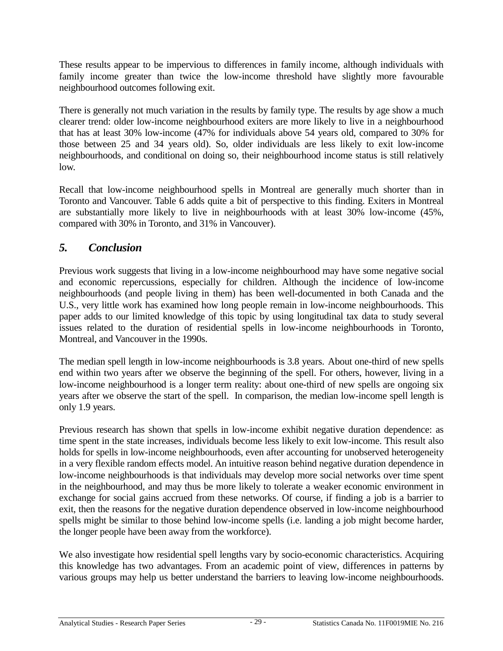<span id="page-32-0"></span>These results appear to be impervious to differences in family income, although individuals with family income greater than twice the low-income threshold have slightly more favourable neighbourhood outcomes following exit.

There is generally not much variation in the results by family type. The results by age show a much clearer trend: older low-income neighbourhood exiters are more likely to live in a neighbourhood that has at least 30% low-income (47% for individuals above 54 years old, compared to 30% for those between 25 and 34 years old). So, older individuals are less likely to exit low-income neighbourhoods, and conditional on doing so, their neighbourhood income status is still relatively low.

Recall that low-income neighbourhood spells in Montreal are generally much shorter than in Toronto and Vancouver. Table 6 adds quite a bit of perspective to this finding. Exiters in Montreal are substantially more likely to live in neighbourhoods with at least 30% low-income (45%, compared with 30% in Toronto, and 31% in Vancouver).

# *5. Conclusion*

Previous work suggests that living in a low-income neighbourhood may have some negative social and economic repercussions, especially for children. Although the incidence of low-income neighbourhoods (and people living in them) has been well-documented in both Canada and the U.S., very little work has examined how long people remain in low-income neighbourhoods. This paper adds to our limited knowledge of this topic by using longitudinal tax data to study several issues related to the duration of residential spells in low-income neighbourhoods in Toronto, Montreal, and Vancouver in the 1990s.

The median spell length in low-income neighbourhoods is 3.8 years. About one-third of new spells end within two years after we observe the beginning of the spell. For others, however, living in a low-income neighbourhood is a longer term reality: about one-third of new spells are ongoing six years after we observe the start of the spell. In comparison, the median low-income spell length is only 1.9 years.

Previous research has shown that spells in low-income exhibit negative duration dependence: as time spent in the state increases, individuals become less likely to exit low-income. This result also holds for spells in low-income neighbourhoods, even after accounting for unobserved heterogeneity in a very flexible random effects model. An intuitive reason behind negative duration dependence in low-income neighbourhoods is that individuals may develop more social networks over time spent in the neighbourhood, and may thus be more likely to tolerate a weaker economic environment in exchange for social gains accrued from these networks. Of course, if finding a job is a barrier to exit, then the reasons for the negative duration dependence observed in low-income neighbourhood spells might be similar to those behind low-income spells (i.e. landing a job might become harder, the longer people have been away from the workforce).

We also investigate how residential spell lengths vary by socio-economic characteristics. Acquiring this knowledge has two advantages. From an academic point of view, differences in patterns by various groups may help us better understand the barriers to leaving low-income neighbourhoods.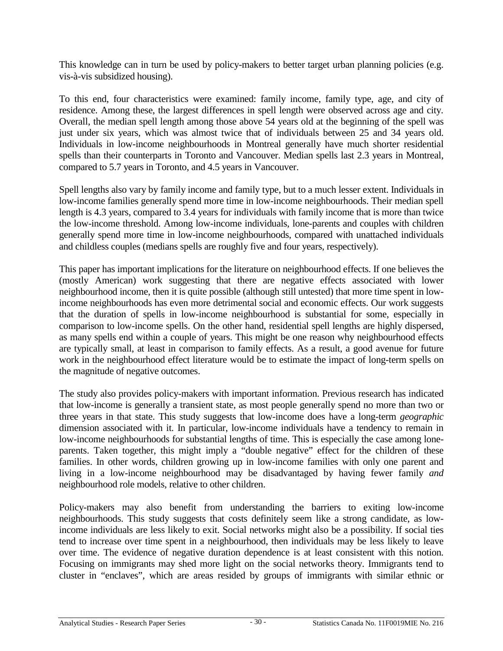This knowledge can in turn be used by policy-makers to better target urban planning policies (e.g. vis-à-vis subsidized housing).

To this end, four characteristics were examined: family income, family type, age, and city of residence. Among these, the largest differences in spell length were observed across age and city. Overall, the median spell length among those above 54 years old at the beginning of the spell was just under six years, which was almost twice that of individuals between 25 and 34 years old. Individuals in low-income neighbourhoods in Montreal generally have much shorter residential spells than their counterparts in Toronto and Vancouver. Median spells last 2.3 years in Montreal, compared to 5.7 years in Toronto, and 4.5 years in Vancouver.

Spell lengths also vary by family income and family type, but to a much lesser extent. Individuals in low-income families generally spend more time in low-income neighbourhoods. Their median spell length is 4.3 years, compared to 3.4 years for individuals with family income that is more than twice the low-income threshold. Among low-income individuals, lone-parents and couples with children generally spend more time in low-income neighbourhoods, compared with unattached individuals and childless couples (medians spells are roughly five and four years, respectively).

This paper has important implications for the literature on neighbourhood effects. If one believes the (mostly American) work suggesting that there are negative effects associated with lower neighbourhood income, then it is quite possible (although still untested) that more time spent in lowincome neighbourhoods has even more detrimental social and economic effects. Our work suggests that the duration of spells in low-income neighbourhood is substantial for some, especially in comparison to low-income spells. On the other hand, residential spell lengths are highly dispersed, as many spells end within a couple of years. This might be one reason why neighbourhood effects are typically small, at least in comparison to family effects. As a result, a good avenue for future work in the neighbourhood effect literature would be to estimate the impact of long-term spells on the magnitude of negative outcomes.

The study also provides policy-makers with important information. Previous research has indicated that low-income is generally a transient state, as most people generally spend no more than two or three years in that state. This study suggests that low-income does have a long-term *geographic* dimension associated with it. In particular, low-income individuals have a tendency to remain in low-income neighbourhoods for substantial lengths of time. This is especially the case among loneparents. Taken together, this might imply a "double negative" effect for the children of these families. In other words, children growing up in low-income families with only one parent and living in a low-income neighbourhood may be disadvantaged by having fewer family *and* neighbourhood role models, relative to other children.

Policy-makers may also benefit from understanding the barriers to exiting low-income neighbourhoods. This study suggests that costs definitely seem like a strong candidate, as lowincome individuals are less likely to exit. Social networks might also be a possibility. If social ties tend to increase over time spent in a neighbourhood, then individuals may be less likely to leave over time. The evidence of negative duration dependence is at least consistent with this notion. Focusing on immigrants may shed more light on the social networks theory. Immigrants tend to cluster in "enclaves", which are areas resided by groups of immigrants with similar ethnic or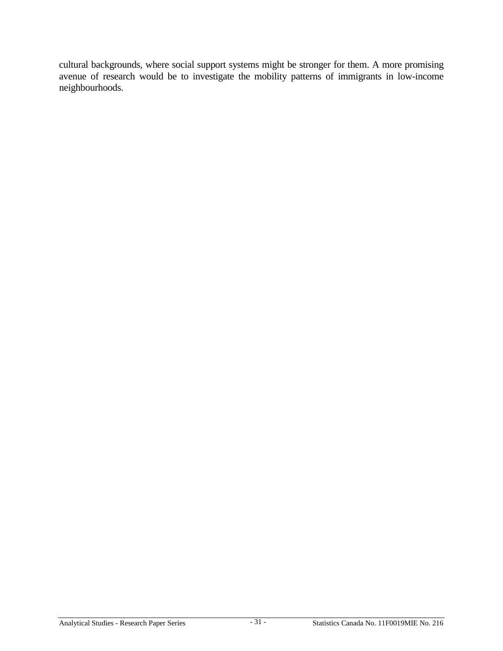cultural backgrounds, where social support systems might be stronger for them. A more promising avenue of research would be to investigate the mobility patterns of immigrants in low-income neighbourhoods.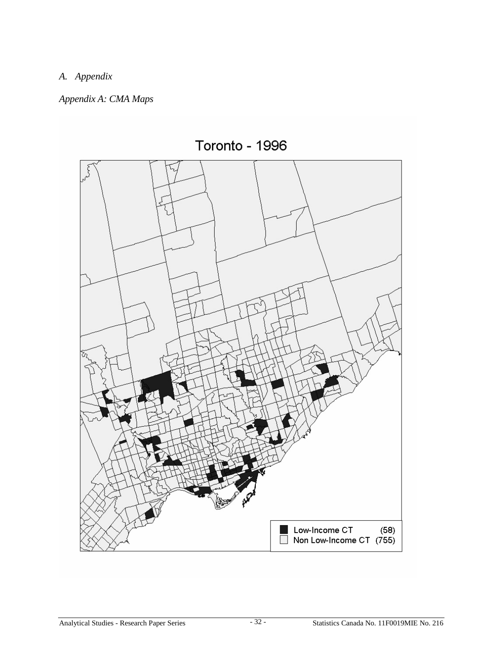# *A. Appendix*

# *Appendix A: CMA Maps*

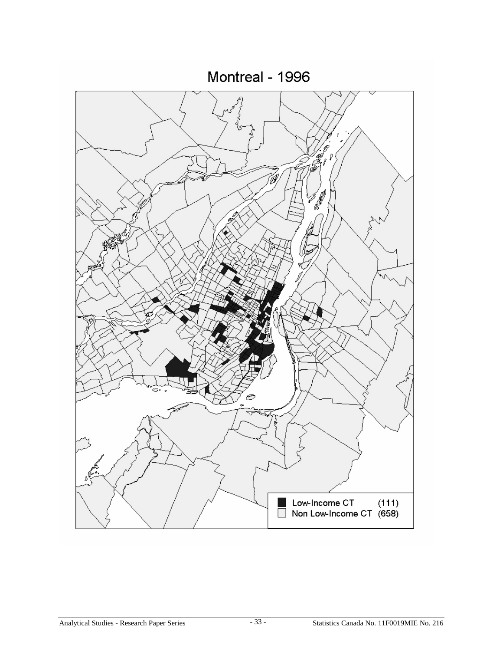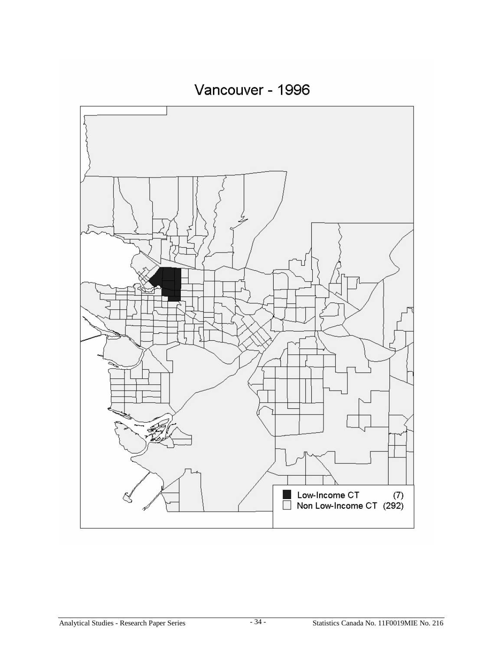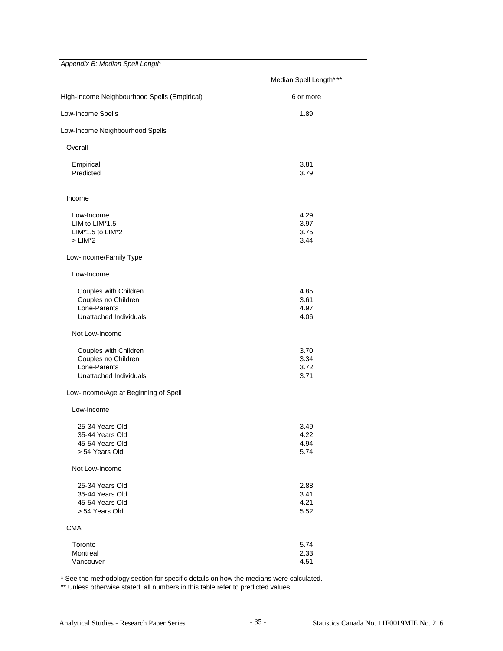Appendix B: Median Spell Length

|                                                                                        | Median Spell Length****      |
|----------------------------------------------------------------------------------------|------------------------------|
| High-Income Neighbourhood Spells (Empirical)                                           | 6 or more                    |
| Low-Income Spells                                                                      | 1.89                         |
| Low-Income Neighbourhood Spells                                                        |                              |
| Overall                                                                                |                              |
| Empirical<br>Predicted                                                                 | 3.81<br>3.79                 |
| Income                                                                                 |                              |
| Low-Income<br>LIM to LIM*1.5<br>LIM*1.5 to LIM*2<br>$>$ LIM*2                          | 4.29<br>3.97<br>3.75<br>3.44 |
| Low-Income/Family Type<br>Low-Income                                                   |                              |
| Couples with Children<br>Couples no Children<br>Lone-Parents<br>Unattached Individuals | 4.85<br>3.61<br>4.97<br>4.06 |
| Not Low-Income                                                                         |                              |
| Couples with Children<br>Couples no Children<br>Lone-Parents<br>Unattached Individuals | 3.70<br>3.34<br>3.72<br>3.71 |
| Low-Income/Age at Beginning of Spell                                                   |                              |
| Low-Income<br>25-34 Years Old<br>35-44 Years Old                                       | 3.49<br>4.22                 |
| 45-54 Years Old<br>> 54 Years Old                                                      | 4.94<br>5.74                 |
| Not Low-Income                                                                         |                              |
| 25-34 Years Old<br>35-44 Years Old<br>45-54 Years Old<br>> 54 Years Old                | 2.88<br>3.41<br>4.21<br>5.52 |
| <b>CMA</b>                                                                             |                              |
| Toronto<br>Montreal<br>Vancouver                                                       | 5.74<br>2.33<br>4.51         |

\* See the methodology section for specific details on how the medians were calculated.

\*\* Unless otherwise stated, all numbers in this table refer to predicted values.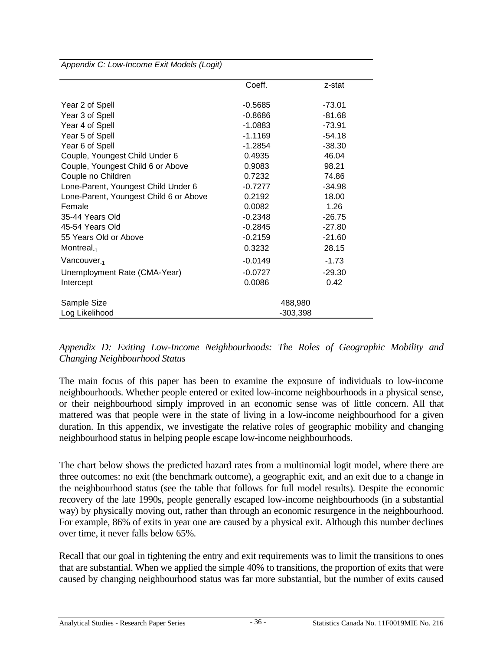Appendix C: Low-Income Exit Models (Logit)

|                                        | Coeff.    | z-stat     |
|----------------------------------------|-----------|------------|
| Year 2 of Spell                        | $-0.5685$ | $-73.01$   |
| Year 3 of Spell                        | $-0.8686$ | $-81.68$   |
| Year 4 of Spell                        | $-1.0883$ | $-73.91$   |
| Year 5 of Spell                        | $-1.1169$ | $-54.18$   |
| Year 6 of Spell                        | $-1.2854$ | $-38.30$   |
| Couple, Youngest Child Under 6         | 0.4935    | 46.04      |
| Couple, Youngest Child 6 or Above      | 0.9083    | 98.21      |
| Couple no Children                     | 0.7232    | 74.86      |
| Lone-Parent, Youngest Child Under 6    | $-0.7277$ | $-34.98$   |
| Lone-Parent, Youngest Child 6 or Above | 0.2192    | 18.00      |
| Female                                 | 0.0082    | 1.26       |
| 35-44 Years Old                        | $-0.2348$ | $-26.75$   |
| 45-54 Years Old                        | $-0.2845$ | $-27.80$   |
| 55 Years Old or Above                  | $-0.2159$ | $-21.60$   |
| Montreal <sub>-1</sub>                 | 0.3232    | 28.15      |
| Vancouver <sub>-1</sub>                | $-0.0149$ | $-1.73$    |
| Unemployment Rate (CMA-Year)           | $-0.0727$ | $-29.30$   |
| Intercept                              | 0.0086    | 0.42       |
| Sample Size                            |           | 488,980    |
| Log Likelihood                         |           | $-303,398$ |

*Appendix D: Exiting Low-Income Neighbourhoods: The Roles of Geographic Mobility and Changing Neighbourhood Status*

The main focus of this paper has been to examine the exposure of individuals to low-income neighbourhoods. Whether people entered or exited low-income neighbourhoods in a physical sense, or their neighbourhood simply improved in an economic sense was of little concern. All that mattered was that people were in the state of living in a low-income neighbourhood for a given duration. In this appendix, we investigate the relative roles of geographic mobility and changing neighbourhood status in helping people escape low-income neighbourhoods.

The chart below shows the predicted hazard rates from a multinomial logit model, where there are three outcomes: no exit (the benchmark outcome), a geographic exit, and an exit due to a change in the neighbourhood status (see the table that follows for full model results). Despite the economic recovery of the late 1990s, people generally escaped low-income neighbourhoods (in a substantial way) by physically moving out, rather than through an economic resurgence in the neighbourhood. For example, 86% of exits in year one are caused by a physical exit. Although this number declines over time, it never falls below 65%.

Recall that our goal in tightening the entry and exit requirements was to limit the transitions to ones that are substantial. When we applied the simple 40% to transitions, the proportion of exits that were caused by changing neighbourhood status was far more substantial, but the number of exits caused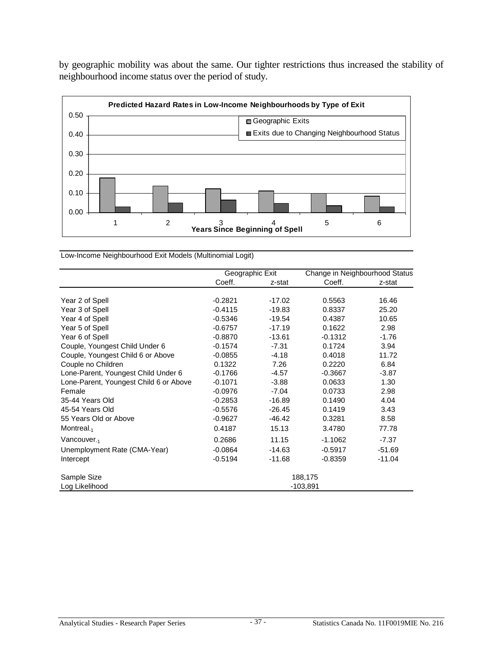by geographic mobility was about the same. Our tighter restrictions thus increased the stability of neighbourhood income status over the period of study.



Low-Income Neighbourhood Exit Models (Multinomial Logit)

|                                        | Geographic Exit |          | Change in Neighbourhood Status |          |
|----------------------------------------|-----------------|----------|--------------------------------|----------|
|                                        | Coeff.          | z-stat   | Coeff.                         | z-stat   |
|                                        |                 |          |                                |          |
| Year 2 of Spell                        | $-0.2821$       | $-17.02$ | 0.5563                         | 16.46    |
| Year 3 of Spell                        | $-0.4115$       | $-19.83$ | 0.8337                         | 25.20    |
| Year 4 of Spell                        | $-0.5346$       | $-19.54$ | 0.4387                         | 10.65    |
| Year 5 of Spell                        | $-0.6757$       | $-17.19$ | 0.1622                         | 2.98     |
| Year 6 of Spell                        | $-0.8870$       | $-13.61$ | $-0.1312$                      | $-1.76$  |
| Couple, Youngest Child Under 6         | $-0.1574$       | $-7.31$  | 0.1724                         | 3.94     |
| Couple, Youngest Child 6 or Above      | $-0.0855$       | $-4.18$  | 0.4018                         | 11.72    |
| Couple no Children                     | 0.1322          | 7.26     | 0.2220                         | 6.84     |
| Lone-Parent, Youngest Child Under 6    | $-0.1766$       | $-4.57$  | $-0.3667$                      | $-3.87$  |
| Lone-Parent, Youngest Child 6 or Above | $-0.1071$       | $-3.88$  | 0.0633                         | 1.30     |
| Female                                 | $-0.0976$       | $-7.04$  | 0.0733                         | 2.98     |
| 35-44 Years Old                        | $-0.2853$       | $-16.89$ | 0.1490                         | 4.04     |
| 45-54 Years Old                        | $-0.5576$       | $-26.45$ | 0.1419                         | 3.43     |
| 55 Years Old or Above                  | $-0.9627$       | $-46.42$ | 0.3281                         | 8.58     |
| Montreal. $_1$                         | 0.4187          | 15.13    | 3.4780                         | 77.78    |
| Vancouver <sub>-1</sub>                | 0.2686          | 11.15    | $-1.1062$                      | $-7.37$  |
| Unemployment Rate (CMA-Year)           | $-0.0864$       | $-14.63$ | $-0.5917$                      | $-51.69$ |
| Intercept                              | $-0.5194$       | $-11.68$ | $-0.8359$                      | $-11.04$ |
| Sample Size                            |                 |          | 188,175                        |          |
| Log Likelihood                         |                 |          | $-103,891$                     |          |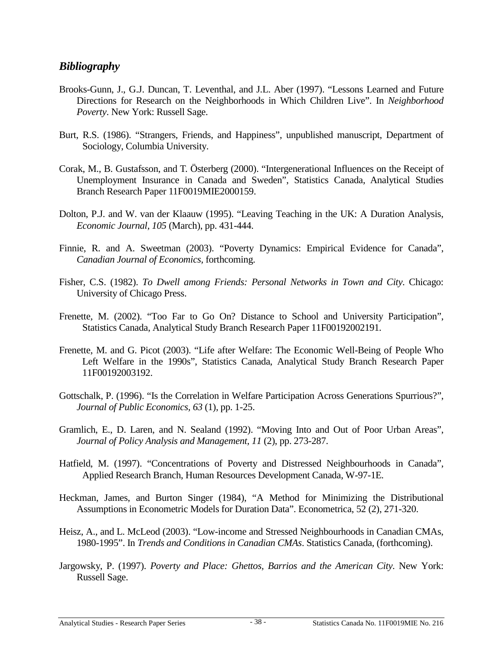## <span id="page-41-0"></span>*Bibliography*

- Brooks-Gunn, J., G.J. Duncan, T. Leventhal, and J.L. Aber (1997). "Lessons Learned and Future Directions for Research on the Neighborhoods in Which Children Live". In *Neighborhood Poverty*. New York: Russell Sage.
- Burt, R.S. (1986). "Strangers, Friends, and Happiness", unpublished manuscript, Department of Sociology, Columbia University.
- Corak, M., B. Gustafsson, and T. Österberg (2000). "Intergenerational Influences on the Receipt of Unemployment Insurance in Canada and Sweden", Statistics Canada, Analytical Studies Branch Research Paper 11F0019MIE2000159.
- Dolton, P.J. and W. van der Klaauw (1995). "Leaving Teaching in the UK: A Duration Analysis, *Economic Journal, 105* (March), pp. 431-444.
- Finnie, R. and A. Sweetman (2003). "Poverty Dynamics: Empirical Evidence for Canada", *Canadian Journal of Economics,* forthcoming.
- Fisher, C.S. (1982). *To Dwell among Friends: Personal Networks in Town and City*. Chicago: University of Chicago Press.
- Frenette, M. (2002). "Too Far to Go On? Distance to School and University Participation", Statistics Canada, Analytical Study Branch Research Paper 11F00192002191.
- Frenette, M. and G. Picot (2003). "Life after Welfare: The Economic Well-Being of People Who Left Welfare in the 1990s", Statistics Canada, Analytical Study Branch Research Paper 11F00192003192.
- Gottschalk, P. (1996). "Is the Correlation in Welfare Participation Across Generations Spurrious?", *Journal of Public Economics, 63* (1), pp. 1-25.
- Gramlich, E., D. Laren, and N. Sealand (1992). "Moving Into and Out of Poor Urban Areas", *Journal of Policy Analysis and Management, 11* (2), pp. 273-287.
- Hatfield, M. (1997). "Concentrations of Poverty and Distressed Neighbourhoods in Canada", Applied Research Branch, Human Resources Development Canada, W-97-1E.
- Heckman, James, and Burton Singer (1984), "A Method for Minimizing the Distributional Assumptions in Econometric Models for Duration Data". Econometrica, 52 (2), 271-320.
- Heisz, A., and L. McLeod (2003). "Low-income and Stressed Neighbourhoods in Canadian CMAs, 1980-1995". In *Trends and Conditions in Canadian CMAs*. Statistics Canada, (forthcoming).
- Jargowsky, P. (1997). *Poverty and Place: Ghettos, Barrios and the American City*. New York: Russell Sage.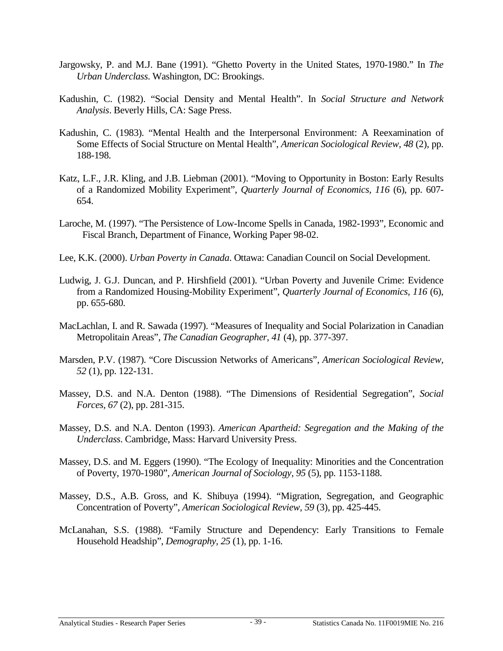- Jargowsky, P. and M.J. Bane (1991). "Ghetto Poverty in the United States, 1970-1980." In *The Urban Underclass*. Washington, DC: Brookings.
- Kadushin, C. (1982). "Social Density and Mental Health". In *Social Structure and Network Analysis*. Beverly Hills, CA: Sage Press.
- Kadushin, C. (1983). "Mental Health and the Interpersonal Environment: A Reexamination of Some Effects of Social Structure on Mental Health", *American Sociological Review, 48* (2), pp. 188-198.
- Katz, L.F., J.R. Kling, and J.B. Liebman (2001). "Moving to Opportunity in Boston: Early Results of a Randomized Mobility Experiment", *Quarterly Journal of Economics, 116* (6), pp. 607- 654.
- Laroche, M. (1997). "The Persistence of Low-Income Spells in Canada, 1982-1993", Economic and Fiscal Branch, Department of Finance, Working Paper 98-02.
- Lee, K.K. (2000). *Urban Poverty in Canada*. Ottawa: Canadian Council on Social Development.
- Ludwig, J. G.J. Duncan, and P. Hirshfield (2001). "Urban Poverty and Juvenile Crime: Evidence from a Randomized Housing-Mobility Experiment", *Quarterly Journal of Economics, 116* (6), pp. 655-680.
- MacLachlan, I. and R. Sawada (1997). "Measures of Inequality and Social Polarization in Canadian Metropolitain Areas", *The Canadian Geographer, 41* (4), pp. 377-397.
- Marsden, P.V. (1987). "Core Discussion Networks of Americans", *American Sociological Review, 52* (1), pp. 122-131.
- Massey, D.S. and N.A. Denton (1988). "The Dimensions of Residential Segregation", *Social Forces, 67* (2), pp. 281-315.
- Massey, D.S. and N.A. Denton (1993). *American Apartheid: Segregation and the Making of the Underclass*. Cambridge, Mass: Harvard University Press.
- Massey, D.S. and M. Eggers (1990). "The Ecology of Inequality: Minorities and the Concentration of Poverty, 1970-1980", *American Journal of Sociology, 95* (5), pp. 1153-1188.
- Massey, D.S., A.B. Gross, and K. Shibuya (1994). "Migration, Segregation, and Geographic Concentration of Poverty", *American Sociological Review, 59* (3), pp. 425-445.
- McLanahan, S.S. (1988). "Family Structure and Dependency: Early Transitions to Female Household Headship", *Demography, 25* (1), pp. 1-16.